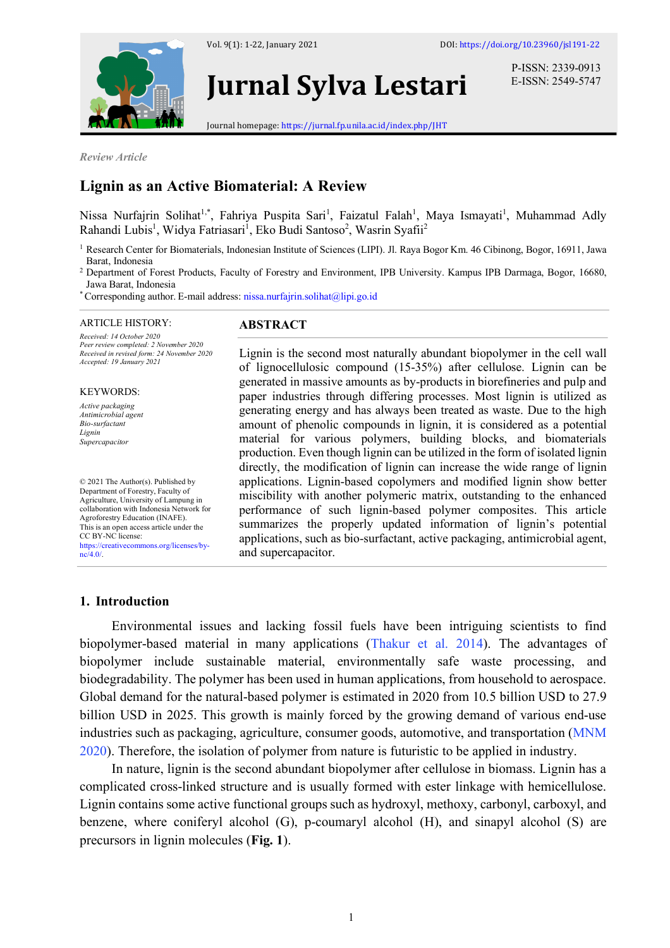

Vol. 9(1): 1-22, January 2021 DOI: https://doi.org/10.23960/jsl191-22



# **Jurnal Sylva Lestari**

P-ISSN: 2339-0913 E-ISSN: 2549-5747

Journal homepage: https://jurnal.fp.unila.ac.id/index.php/JHT

*Review Article*

# **Lignin as an Active Biomaterial: A Review**

Nissa Nurfajrin Solihat<sup>1,\*</sup>, Fahriya Puspita Sari<sup>1</sup>, Faizatul Falah<sup>1</sup>, Maya Ismayati<sup>1</sup>, Muhammad Adly Rahandi Lubis<sup>1</sup>, Widya Fatriasari<sup>1</sup>, Eko Budi Santoso<sup>2</sup>, Wasrin Syafii<sup>2</sup>

- <sup>1</sup> Research Center for Biomaterials, Indonesian Institute of Sciences (LIPI). Jl. Raya Bogor Km. 46 Cibinong, Bogor, 16911, Jawa Barat, Indonesia
- <sup>2</sup> Department of Forest Products, Faculty of Forestry and Environment, IPB University. Kampus IPB Darmaga, Bogor, 16680, Jawa Barat, Indonesia
- \*Corresponding author. E-mail address: nissa.nurfajrin.solihat@lipi.go.id

#### ARTICLE HISTORY:

*Received: 14 October 2020 Peer review completed: 2 November 2020 Received in revised form: 24 November 2020 Accepted: 19 January 2021*

#### KEYWORDS:

*Active packaging Antimicrobial agent Bio-surfactant Lignin Supercapacitor*

© 2021 The Author(s). Published by Department of Forestry, Faculty of Agriculture, University of Lampung in collaboration with Indonesia Network for Agroforestry Education (INAFE). This is an open access article under the CC BY-NC license: https://creativecommons.org/licenses/by $ne/4.0/$ .

#### **ABSTRACT**

Lignin is the second most naturally abundant biopolymer in the cell wall of lignocellulosic compound (15-35%) after cellulose. Lignin can be generated in massive amounts as by-products in biorefineries and pulp and paper industries through differing processes. Most lignin is utilized as generating energy and has always been treated as waste. Due to the high amount of phenolic compounds in lignin, it is considered as a potential material for various polymers, building blocks, and biomaterials production. Even though lignin can be utilized in the form of isolated lignin directly, the modification of lignin can increase the wide range of lignin applications. Lignin-based copolymers and modified lignin show better miscibility with another polymeric matrix, outstanding to the enhanced performance of such lignin-based polymer composites. This article summarizes the properly updated information of lignin's potential applications, such as bio-surfactant, active packaging, antimicrobial agent, and supercapacitor.

#### **1. Introduction**

Environmental issues and lacking fossil fuels have been intriguing scientists to find biopolymer-based material in many applications (Thakur et al. 2014). The advantages of biopolymer include sustainable material, environmentally safe waste processing, and biodegradability. The polymer has been used in human applications, from household to aerospace. Global demand for the natural-based polymer is estimated in 2020 from 10.5 billion USD to 27.9 billion USD in 2025. This growth is mainly forced by the growing demand of various end-use industries such as packaging, agriculture, consumer goods, automotive, and transportation (MNM 2020). Therefore, the isolation of polymer from nature is futuristic to be applied in industry.

In nature, lignin is the second abundant biopolymer after cellulose in biomass. Lignin has a complicated cross-linked structure and is usually formed with ester linkage with hemicellulose. Lignin contains some active functional groups such as hydroxyl, methoxy, carbonyl, carboxyl, and benzene, where coniferyl alcohol (G), p-coumaryl alcohol (H), and sinapyl alcohol (S) are precursors in lignin molecules (**Fig. 1**).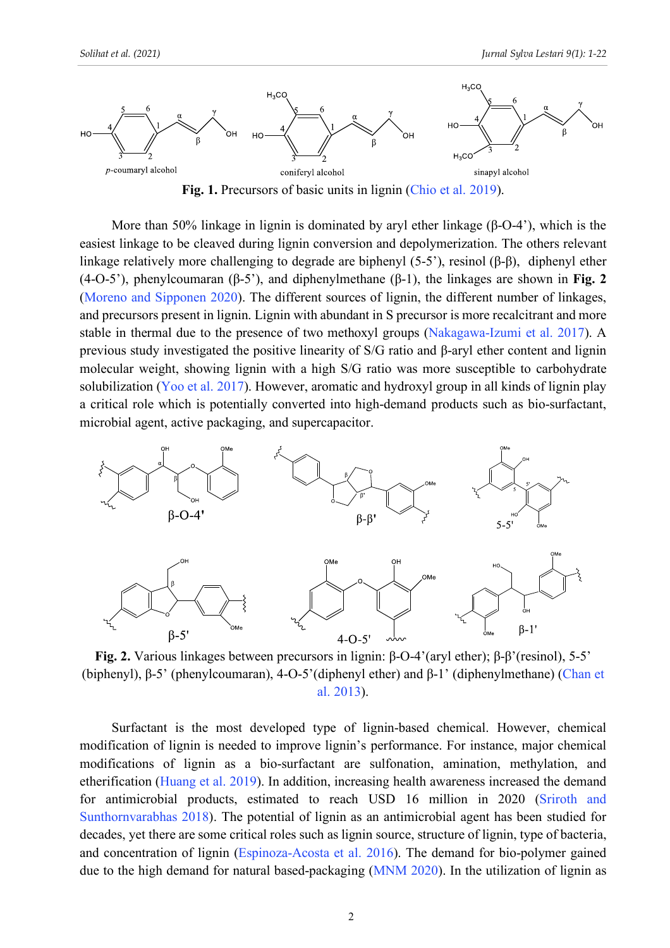

Fig. 1. Precursors of basic units in lignin (Chio et al. 2019).

More than 50% linkage in lignin is dominated by aryl ether linkage (β-O-4'), which is the easiest linkage to be cleaved during lignin conversion and depolymerization. The others relevant linkage relatively more challenging to degrade are biphenyl (5-5'), resinol (β-β), diphenyl ether (4-O-5'), phenylcoumaran (β-5'), and diphenylmethane (β-1), the linkages are shown in **Fig. 2** (Moreno and Sipponen 2020). The different sources of lignin, the different number of linkages, and precursors present in lignin. Lignin with abundant in S precursor is more recalcitrant and more stable in thermal due to the presence of two methoxyl groups (Nakagawa-Izumi et al. 2017). A previous study investigated the positive linearity of S/G ratio and β-aryl ether content and lignin molecular weight, showing lignin with a high S/G ratio was more susceptible to carbohydrate solubilization (Yoo et al. 2017). However, aromatic and hydroxyl group in all kinds of lignin play a critical role which is potentially converted into high-demand products such as bio-surfactant, microbial agent, active packaging, and supercapacitor.



**Fig. 2.** Various linkages between precursors in lignin: β-O-4'(aryl ether); β-β'(resinol), 5-5' (biphenyl), β-5' (phenylcoumaran), 4-O-5'(diphenyl ether) and β-1' (diphenylmethane) (Chan et al. 2013).

Surfactant is the most developed type of lignin-based chemical. However, chemical modification of lignin is needed to improve lignin's performance. For instance, major chemical modifications of lignin as a bio-surfactant are sulfonation, amination, methylation, and etherification (Huang et al. 2019). In addition, increasing health awareness increased the demand for antimicrobial products, estimated to reach USD 16 million in 2020 (Sriroth and Sunthornvarabhas 2018). The potential of lignin as an antimicrobial agent has been studied for decades, yet there are some critical roles such as lignin source, structure of lignin, type of bacteria, and concentration of lignin (Espinoza-Acosta et al. 2016). The demand for bio-polymer gained due to the high demand for natural based-packaging (MNM 2020). In the utilization of lignin as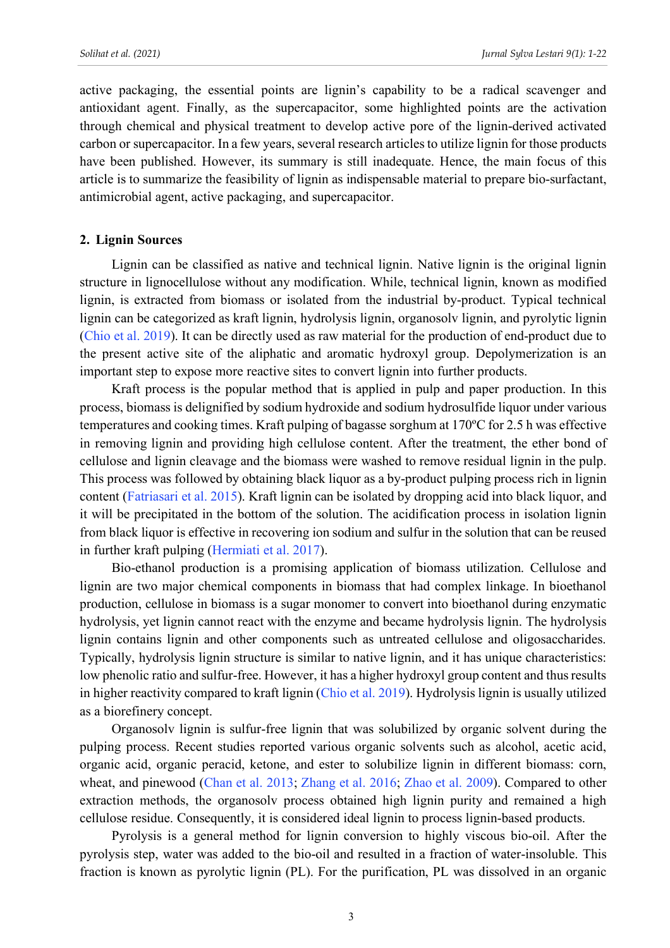active packaging, the essential points are lignin's capability to be a radical scavenger and antioxidant agent. Finally, as the supercapacitor, some highlighted points are the activation through chemical and physical treatment to develop active pore of the lignin-derived activated carbon or supercapacitor. In a few years, several research articles to utilize lignin for those products have been published. However, its summary is still inadequate. Hence, the main focus of this article is to summarize the feasibility of lignin as indispensable material to prepare bio-surfactant, antimicrobial agent, active packaging, and supercapacitor.

## **2. Lignin Sources**

Lignin can be classified as native and technical lignin. Native lignin is the original lignin structure in lignocellulose without any modification. While, technical lignin, known as modified lignin, is extracted from biomass or isolated from the industrial by-product. Typical technical lignin can be categorized as kraft lignin, hydrolysis lignin, organosolv lignin, and pyrolytic lignin (Chio et al. 2019). It can be directly used as raw material for the production of end-product due to the present active site of the aliphatic and aromatic hydroxyl group. Depolymerization is an important step to expose more reactive sites to convert lignin into further products.

Kraft process is the popular method that is applied in pulp and paper production. In this process, biomass is delignified by sodium hydroxide and sodium hydrosulfide liquor under various temperatures and cooking times. Kraft pulping of bagasse sorghum at 170ºC for 2.5 h was effective in removing lignin and providing high cellulose content. After the treatment, the ether bond of cellulose and lignin cleavage and the biomass were washed to remove residual lignin in the pulp. This process was followed by obtaining black liquor as a by-product pulping process rich in lignin content (Fatriasari et al. 2015). Kraft lignin can be isolated by dropping acid into black liquor, and it will be precipitated in the bottom of the solution. The acidification process in isolation lignin from black liquor is effective in recovering ion sodium and sulfur in the solution that can be reused in further kraft pulping (Hermiati et al. 2017).

Bio-ethanol production is a promising application of biomass utilization. Cellulose and lignin are two major chemical components in biomass that had complex linkage. In bioethanol production, cellulose in biomass is a sugar monomer to convert into bioethanol during enzymatic hydrolysis, yet lignin cannot react with the enzyme and became hydrolysis lignin. The hydrolysis lignin contains lignin and other components such as untreated cellulose and oligosaccharides. Typically, hydrolysis lignin structure is similar to native lignin, and it has unique characteristics: low phenolic ratio and sulfur-free. However, it has a higher hydroxyl group content and thus results in higher reactivity compared to kraft lignin (Chio et al. 2019). Hydrolysis lignin is usually utilized as a biorefinery concept.

Organosolv lignin is sulfur-free lignin that was solubilized by organic solvent during the pulping process. Recent studies reported various organic solvents such as alcohol, acetic acid, organic acid, organic peracid, ketone, and ester to solubilize lignin in different biomass: corn, wheat, and pinewood (Chan et al. 2013; Zhang et al. 2016; Zhao et al. 2009). Compared to other extraction methods, the organosolv process obtained high lignin purity and remained a high cellulose residue. Consequently, it is considered ideal lignin to process lignin-based products.

Pyrolysis is a general method for lignin conversion to highly viscous bio-oil. After the pyrolysis step, water was added to the bio-oil and resulted in a fraction of water-insoluble. This fraction is known as pyrolytic lignin (PL). For the purification, PL was dissolved in an organic

3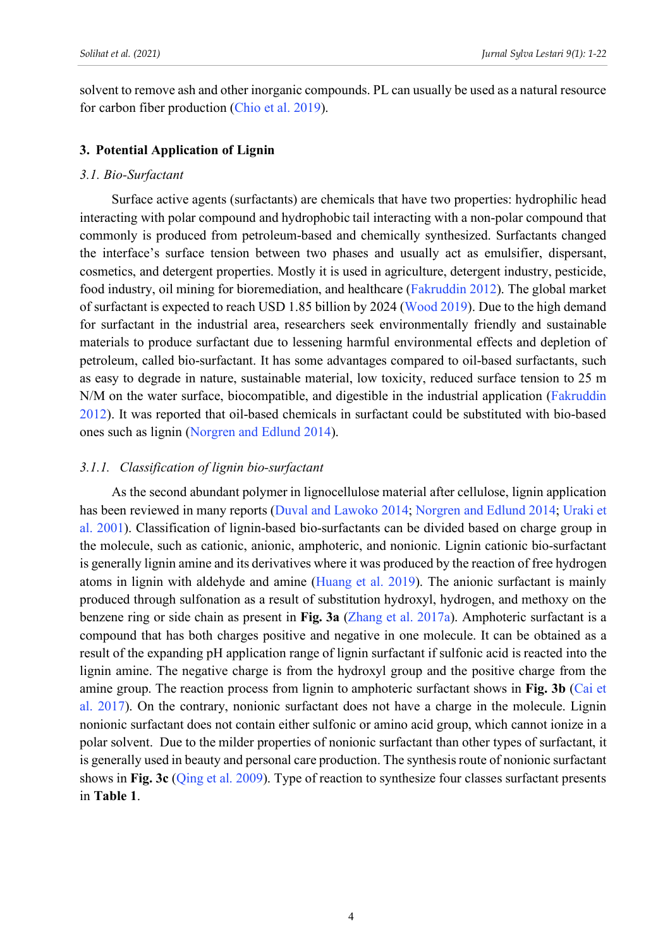solvent to remove ash and other inorganic compounds. PL can usually be used as a natural resource for carbon fiber production (Chio et al. 2019).

#### **3. Potential Application of Lignin**

#### *3.1. Bio-Surfactant*

Surface active agents (surfactants) are chemicals that have two properties: hydrophilic head interacting with polar compound and hydrophobic tail interacting with a non-polar compound that commonly is produced from petroleum-based and chemically synthesized. Surfactants changed the interface's surface tension between two phases and usually act as emulsifier, dispersant, cosmetics, and detergent properties. Mostly it is used in agriculture, detergent industry, pesticide, food industry, oil mining for bioremediation, and healthcare (Fakruddin 2012). The global market of surfactant is expected to reach USD 1.85 billion by 2024 (Wood 2019). Due to the high demand for surfactant in the industrial area, researchers seek environmentally friendly and sustainable materials to produce surfactant due to lessening harmful environmental effects and depletion of petroleum, called bio-surfactant. It has some advantages compared to oil-based surfactants, such as easy to degrade in nature, sustainable material, low toxicity, reduced surface tension to 25 m N/M on the water surface, biocompatible, and digestible in the industrial application (Fakruddin 2012). It was reported that oil-based chemicals in surfactant could be substituted with bio-based ones such as lignin (Norgren and Edlund 2014).

### *3.1.1. Classification of lignin bio-surfactant*

As the second abundant polymer in lignocellulose material after cellulose, lignin application has been reviewed in many reports (Duval and Lawoko 2014; Norgren and Edlund 2014; Uraki et al. 2001). Classification of lignin-based bio-surfactants can be divided based on charge group in the molecule, such as cationic, anionic, amphoteric, and nonionic. Lignin cationic bio-surfactant is generally lignin amine and its derivatives where it was produced by the reaction of free hydrogen atoms in lignin with aldehyde and amine (Huang et al. 2019). The anionic surfactant is mainly produced through sulfonation as a result of substitution hydroxyl, hydrogen, and methoxy on the benzene ring or side chain as present in **Fig. 3a** (Zhang et al. 2017a). Amphoteric surfactant is a compound that has both charges positive and negative in one molecule. It can be obtained as a result of the expanding pH application range of lignin surfactant if sulfonic acid is reacted into the lignin amine. The negative charge is from the hydroxyl group and the positive charge from the amine group. The reaction process from lignin to amphoteric surfactant shows in **Fig. 3b** (Cai et al. 2017). On the contrary, nonionic surfactant does not have a charge in the molecule. Lignin nonionic surfactant does not contain either sulfonic or amino acid group, which cannot ionize in a polar solvent. Due to the milder properties of nonionic surfactant than other types of surfactant, it is generally used in beauty and personal care production. The synthesisroute of nonionic surfactant shows in **Fig. 3c** (Qing et al. 2009). Type of reaction to synthesize four classes surfactant presents in **Table 1**.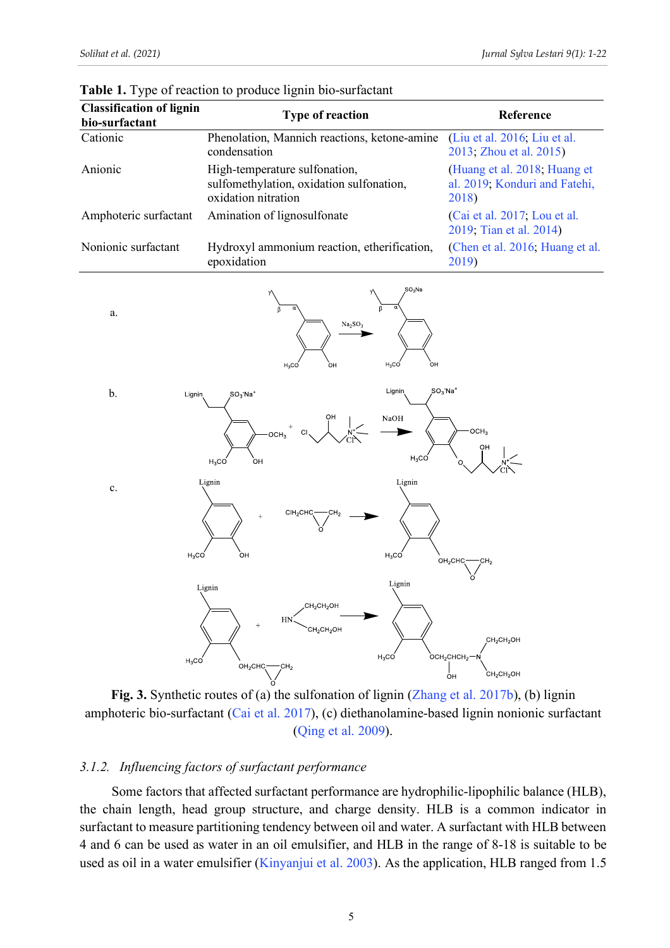| <b>Classification of lignin</b><br>bio-surfactant | <b>Type of reaction</b>                                                                          | Reference                                                              |
|---------------------------------------------------|--------------------------------------------------------------------------------------------------|------------------------------------------------------------------------|
| Cationic                                          | Phenolation, Mannich reactions, ketone-amine<br>condensation                                     | (Liu et al. 2016; Liu et al.<br>2013; Zhou et al. 2015)                |
| Anionic                                           | High-temperature sulfonation,<br>sulfomethylation, oxidation sulfonation,<br>oxidation nitration | (Huang et al. 2018; Huang et<br>al. 2019, Konduri and Fatehi,<br>2018) |
| Amphoteric surfactant                             | Amination of lignosulfonate                                                                      | (Cai et al. 2017; Lou et al.<br>2019; Tian et al. 2014)                |
| Nonionic surfactant                               | Hydroxyl ammonium reaction, etherification,<br>epoxidation                                       | (Chen et al. 2016; Huang et al.<br>2019)                               |

**Table 1.** Type of reaction to produce lignin bio-surfactant



**Fig. 3.** Synthetic routes of (a) the sulfonation of lignin (Zhang et al. 2017b), (b) lignin amphoteric bio-surfactant (Cai et al. 2017), (c) diethanolamine-based lignin nonionic surfactant (Qing et al. 2009).

#### *3.1.2. Influencing factors of surfactant performance*

Some factors that affected surfactant performance are hydrophilic-lipophilic balance (HLB), the chain length, head group structure, and charge density. HLB is a common indicator in surfactant to measure partitioning tendency between oil and water. A surfactant with HLB between 4 and 6 can be used as water in an oil emulsifier, and HLB in the range of 8-18 is suitable to be used as oil in a water emulsifier (Kinyanjui et al. 2003). As the application, HLB ranged from 1.5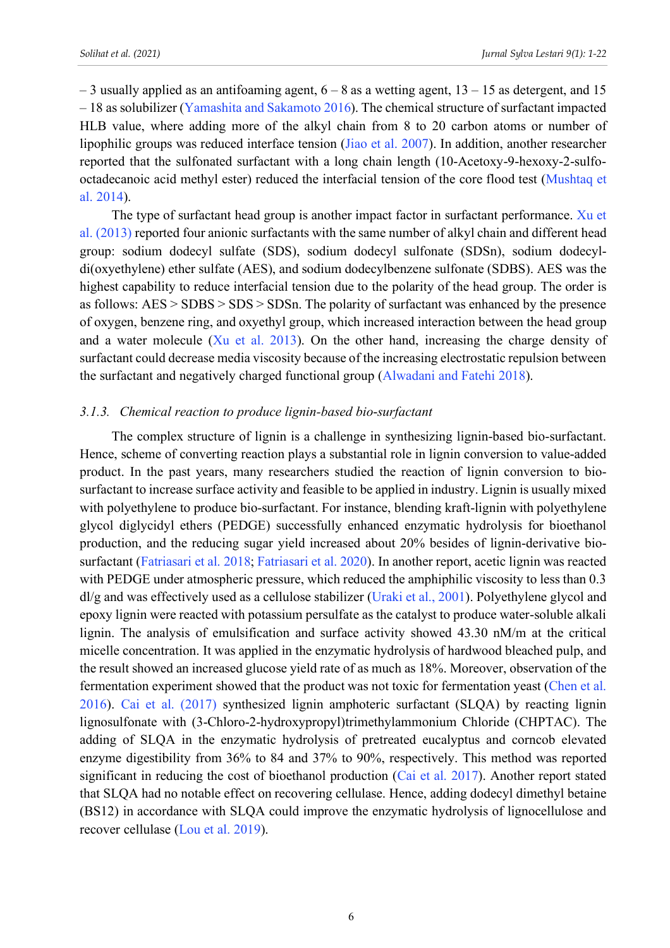$-$  3 usually applied as an antifoaming agent,  $6 - 8$  as a wetting agent,  $13 - 15$  as detergent, and 15 – 18 as solubilizer (Yamashita and Sakamoto 2016). The chemical structure of surfactant impacted HLB value, where adding more of the alkyl chain from 8 to 20 carbon atoms or number of lipophilic groups was reduced interface tension (Jiao et al. 2007). In addition, another researcher reported that the sulfonated surfactant with a long chain length (10-Acetoxy-9-hexoxy-2-sulfooctadecanoic acid methyl ester) reduced the interfacial tension of the core flood test (Mushtaq et al. 2014).

The type of surfactant head group is another impact factor in surfactant performance. Xu et al. (2013) reported four anionic surfactants with the same number of alkyl chain and different head group: sodium dodecyl sulfate (SDS), sodium dodecyl sulfonate (SDSn), sodium dodecyldi(oxyethylene) ether sulfate (AES), and sodium dodecylbenzene sulfonate (SDBS). AES was the highest capability to reduce interfacial tension due to the polarity of the head group. The order is as follows:  $\text{AES} > \text{SDBS} > \text{SDS} > \text{SDSn}$ . The polarity of surfactant was enhanced by the presence of oxygen, benzene ring, and oxyethyl group, which increased interaction between the head group and a water molecule (Xu et al. 2013). On the other hand, increasing the charge density of surfactant could decrease media viscosity because of the increasing electrostatic repulsion between the surfactant and negatively charged functional group (Alwadani and Fatehi 2018).

#### *3.1.3. Chemical reaction to produce lignin-based bio*-*surfactant*

The complex structure of lignin is a challenge in synthesizing lignin-based bio-surfactant. Hence, scheme of converting reaction plays a substantial role in lignin conversion to value-added product. In the past years, many researchers studied the reaction of lignin conversion to biosurfactant to increase surface activity and feasible to be applied in industry. Lignin is usually mixed with polyethylene to produce bio-surfactant. For instance, blending kraft-lignin with polyethylene glycol diglycidyl ethers (PEDGE) successfully enhanced enzymatic hydrolysis for bioethanol production, and the reducing sugar yield increased about 20% besides of lignin-derivative biosurfactant (Fatriasari et al. 2018; Fatriasari et al. 2020). In another report, acetic lignin was reacted with PEDGE under atmospheric pressure, which reduced the amphiphilic viscosity to less than 0.3 dl/g and was effectively used as a cellulose stabilizer (Uraki et al., 2001). Polyethylene glycol and epoxy lignin were reacted with potassium persulfate as the catalyst to produce water-soluble alkali lignin. The analysis of emulsification and surface activity showed 43.30 nM/m at the critical micelle concentration. It was applied in the enzymatic hydrolysis of hardwood bleached pulp, and the result showed an increased glucose yield rate of as much as 18%. Moreover, observation of the fermentation experiment showed that the product was not toxic for fermentation yeast (Chen et al. 2016). Cai et al. (2017) synthesized lignin amphoteric surfactant (SLQA) by reacting lignin lignosulfonate with (3-Chloro-2-hydroxypropyl)trimethylammonium Chloride (CHPTAC). The adding of SLQA in the enzymatic hydrolysis of pretreated eucalyptus and corncob elevated enzyme digestibility from 36% to 84 and 37% to 90%, respectively. This method was reported significant in reducing the cost of bioethanol production (Cai et al. 2017). Another report stated that SLQA had no notable effect on recovering cellulase. Hence, adding dodecyl dimethyl betaine (BS12) in accordance with SLQA could improve the enzymatic hydrolysis of lignocellulose and recover cellulase (Lou et al. 2019).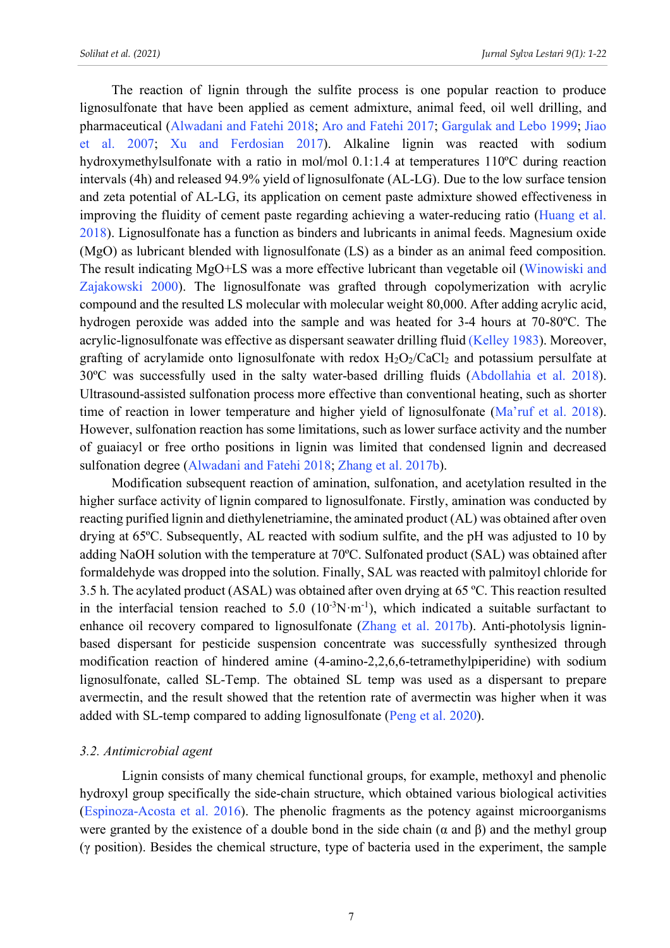The reaction of lignin through the sulfite process is one popular reaction to produce lignosulfonate that have been applied as cement admixture, animal feed, oil well drilling, and pharmaceutical (Alwadani and Fatehi 2018; Aro and Fatehi 2017; Gargulak and Lebo 1999; Jiao et al. 2007; Xu and Ferdosian 2017). Alkaline lignin was reacted with sodium hydroxymethylsulfonate with a ratio in mol/mol 0.1:1.4 at temperatures 110ºC during reaction intervals (4h) and released 94.9% yield of lignosulfonate (AL-LG). Due to the low surface tension and zeta potential of AL-LG, its application on cement paste admixture showed effectiveness in improving the fluidity of cement paste regarding achieving a water-reducing ratio (Huang et al. 2018). Lignosulfonate has a function as binders and lubricants in animal feeds. Magnesium oxide (MgO) as lubricant blended with lignosulfonate (LS) as a binder as an animal feed composition. The result indicating MgO+LS was a more effective lubricant than vegetable oil (Winowiski and Zajakowski 2000). The lignosulfonate was grafted through copolymerization with acrylic compound and the resulted LS molecular with molecular weight 80,000. After adding acrylic acid, hydrogen peroxide was added into the sample and was heated for 3-4 hours at 70-80ºC. The acrylic-lignosulfonate was effective as dispersant seawater drilling fluid (Kelley 1983). Moreover, grafting of acrylamide onto lignosulfonate with redox  $H_2O_2/CaCl_2$  and potassium persulfate at 30ºC was successfully used in the salty water-based drilling fluids (Abdollahia et al. 2018). Ultrasound-assisted sulfonation process more effective than conventional heating, such as shorter time of reaction in lower temperature and higher yield of lignosulfonate (Ma'ruf et al. 2018). However, sulfonation reaction has some limitations, such as lower surface activity and the number of guaiacyl or free ortho positions in lignin was limited that condensed lignin and decreased sulfonation degree (Alwadani and Fatehi 2018; Zhang et al. 2017b).

Modification subsequent reaction of amination, sulfonation, and acetylation resulted in the higher surface activity of lignin compared to lignosulfonate. Firstly, amination was conducted by reacting purified lignin and diethylenetriamine, the aminated product (AL) was obtained after oven drying at 65ºC. Subsequently, AL reacted with sodium sulfite, and the pH was adjusted to 10 by adding NaOH solution with the temperature at 70ºC. Sulfonated product (SAL) was obtained after formaldehyde was dropped into the solution. Finally, SAL was reacted with palmitoyl chloride for 3.5 h. The acylated product (ASAL) was obtained after oven drying at 65 ºC. This reaction resulted in the interfacial tension reached to 5.0  $(10^{-3}N \cdot m^{-1})$ , which indicated a suitable surfactant to enhance oil recovery compared to lignosulfonate (Zhang et al. 2017b). Anti-photolysis ligninbased dispersant for pesticide suspension concentrate was successfully synthesized through modification reaction of hindered amine (4-amino-2,2,6,6-tetramethylpiperidine) with sodium lignosulfonate, called SL-Temp. The obtained SL temp was used as a dispersant to prepare avermectin, and the result showed that the retention rate of avermectin was higher when it was added with SL-temp compared to adding lignosulfonate (Peng et al. 2020).

### *3.2. Antimicrobial agent*

 Lignin consists of many chemical functional groups, for example, methoxyl and phenolic hydroxyl group specifically the side-chain structure, which obtained various biological activities (Espinoza-Acosta et al. 2016). The phenolic fragments as the potency against microorganisms were granted by the existence of a double bond in the side chain ( $\alpha$  and  $\beta$ ) and the methyl group (γ position). Besides the chemical structure, type of bacteria used in the experiment, the sample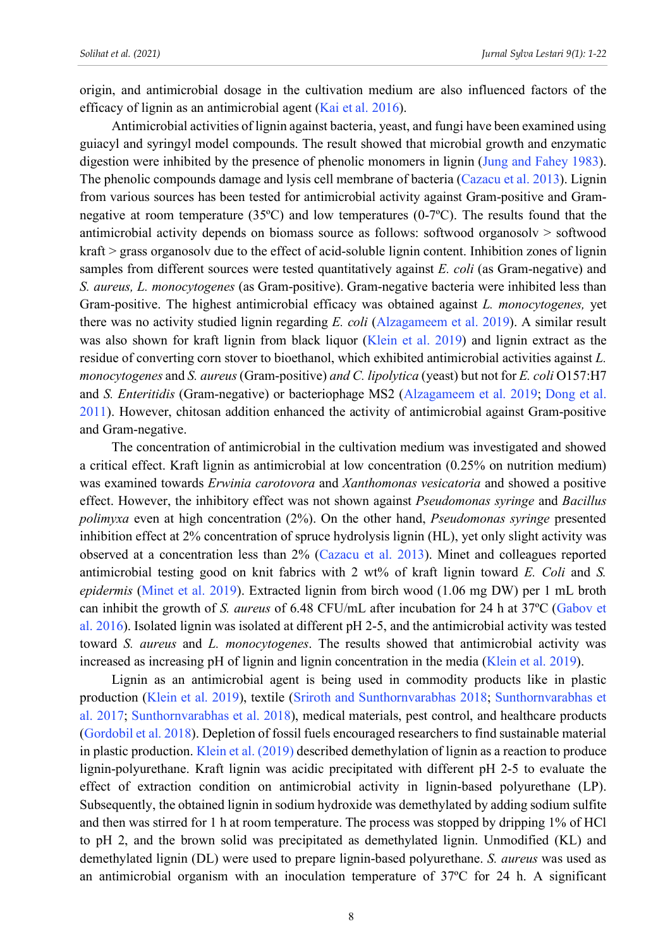origin, and antimicrobial dosage in the cultivation medium are also influenced factors of the efficacy of lignin as an antimicrobial agent (Kai et al. 2016).

Antimicrobial activities of lignin against bacteria, yeast, and fungi have been examined using guiacyl and syringyl model compounds. The result showed that microbial growth and enzymatic digestion were inhibited by the presence of phenolic monomers in lignin (Jung and Fahey 1983). The phenolic compounds damage and lysis cell membrane of bacteria (Cazacu et al. 2013). Lignin from various sources has been tested for antimicrobial activity against Gram-positive and Gramnegative at room temperature (35ºC) and low temperatures (0-7ºC). The results found that the antimicrobial activity depends on biomass source as follows: softwood organosolv > softwood kraft > grass organosolv due to the effect of acid-soluble lignin content. Inhibition zones of lignin samples from different sources were tested quantitatively against *E. coli* (as Gram-negative) and *S. aureus, L. monocytogenes* (as Gram-positive). Gram-negative bacteria were inhibited less than Gram-positive. The highest antimicrobial efficacy was obtained against *L. monocytogenes,* yet there was no activity studied lignin regarding *E. coli* (Alzagameem et al. 2019). A similar result was also shown for kraft lignin from black liquor (Klein et al. 2019) and lignin extract as the residue of converting corn stover to bioethanol, which exhibited antimicrobial activities against *L. monocytogenes* and *S. aureus* (Gram-positive) *and C. lipolytica* (yeast) but not for *E. coli* O157:H7 and *S. Enteritidis* (Gram-negative) or bacteriophage MS2 (Alzagameem et al. 2019; Dong et al. 2011). However, chitosan addition enhanced the activity of antimicrobial against Gram-positive and Gram-negative.

The concentration of antimicrobial in the cultivation medium was investigated and showed a critical effect. Kraft lignin as antimicrobial at low concentration (0.25% on nutrition medium) was examined towards *Erwinia carotovora* and *Xanthomonas vesicatoria* and showed a positive effect. However, the inhibitory effect was not shown against *Pseudomonas syringe* and *Bacillus polimyxa* even at high concentration (2%). On the other hand, *Pseudomonas syringe* presented inhibition effect at 2% concentration of spruce hydrolysis lignin (HL), yet only slight activity was observed at a concentration less than 2% (Cazacu et al. 2013). Minet and colleagues reported antimicrobial testing good on knit fabrics with 2 wt% of kraft lignin toward *E. Coli* and *S. epidermis* (Minet et al. 2019). Extracted lignin from birch wood (1.06 mg DW) per 1 mL broth can inhibit the growth of *S. aureus* of 6.48 CFU/mL after incubation for 24 h at 37ºC (Gabov et al. 2016). Isolated lignin was isolated at different pH 2-5, and the antimicrobial activity was tested toward *S. aureus* and *L. monocytogenes*. The results showed that antimicrobial activity was increased as increasing pH of lignin and lignin concentration in the media (Klein et al. 2019).

Lignin as an antimicrobial agent is being used in commodity products like in plastic production (Klein et al. 2019), textile (Sriroth and Sunthornvarabhas 2018; Sunthornvarabhas et al. 2017; Sunthornvarabhas et al. 2018), medical materials, pest control, and healthcare products (Gordobil et al. 2018). Depletion of fossil fuels encouraged researchers to find sustainable material in plastic production. Klein et al. (2019) described demethylation of lignin as a reaction to produce lignin-polyurethane. Kraft lignin was acidic precipitated with different pH 2-5 to evaluate the effect of extraction condition on antimicrobial activity in lignin-based polyurethane (LP). Subsequently, the obtained lignin in sodium hydroxide was demethylated by adding sodium sulfite and then was stirred for 1 h at room temperature. The process was stopped by dripping 1% of HCl to pH 2, and the brown solid was precipitated as demethylated lignin. Unmodified (KL) and demethylated lignin (DL) were used to prepare lignin-based polyurethane. *S. aureus* was used as an antimicrobial organism with an inoculation temperature of 37ºC for 24 h. A significant

8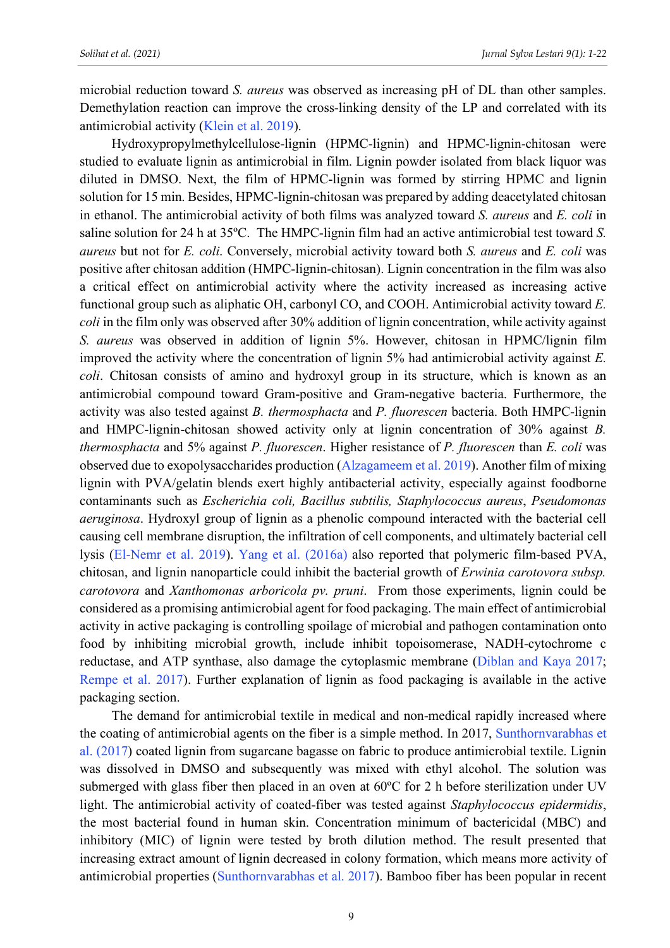microbial reduction toward *S. aureus* was observed as increasing pH of DL than other samples. Demethylation reaction can improve the cross-linking density of the LP and correlated with its antimicrobial activity (Klein et al. 2019).

Hydroxypropylmethylcellulose-lignin (HPMC-lignin) and HPMC-lignin-chitosan were studied to evaluate lignin as antimicrobial in film. Lignin powder isolated from black liquor was diluted in DMSO. Next, the film of HPMC-lignin was formed by stirring HPMC and lignin solution for 15 min. Besides, HPMC-lignin-chitosan was prepared by adding deacetylated chitosan in ethanol. The antimicrobial activity of both films was analyzed toward *S. aureus* and *E. coli* in saline solution for 24 h at 35ºC. The HMPC-lignin film had an active antimicrobial test toward *S. aureus* but not for *E. coli*. Conversely, microbial activity toward both *S. aureus* and *E. coli* was positive after chitosan addition (HMPC-lignin-chitosan). Lignin concentration in the film was also a critical effect on antimicrobial activity where the activity increased as increasing active functional group such as aliphatic OH, carbonyl CO, and COOH. Antimicrobial activity toward *E. coli* in the film only was observed after 30% addition of lignin concentration, while activity against *S. aureus* was observed in addition of lignin 5%. However, chitosan in HPMC/lignin film improved the activity where the concentration of lignin 5% had antimicrobial activity against *E. coli*. Chitosan consists of amino and hydroxyl group in its structure, which is known as an antimicrobial compound toward Gram-positive and Gram-negative bacteria. Furthermore, the activity was also tested against *B. thermosphacta* and *P. fluorescen* bacteria. Both HMPC-lignin and HMPC-lignin-chitosan showed activity only at lignin concentration of 30% against *B. thermosphacta* and 5% against *P. fluorescen*. Higher resistance of *P. fluorescen* than *E. coli* was observed due to exopolysaccharides production (Alzagameem et al. 2019). Another film of mixing lignin with PVA/gelatin blends exert highly antibacterial activity, especially against foodborne contaminants such as *Escherichia coli, Bacillus subtilis, Staphylococcus aureus*, *Pseudomonas aeruginosa*. Hydroxyl group of lignin as a phenolic compound interacted with the bacterial cell causing cell membrane disruption, the infiltration of cell components, and ultimately bacterial cell lysis (El-Nemr et al. 2019). Yang et al. (2016a) also reported that polymeric film-based PVA, chitosan, and lignin nanoparticle could inhibit the bacterial growth of *Erwinia carotovora subsp. carotovora* and *Xanthomonas arboricola pv. pruni*. From those experiments, lignin could be considered as a promising antimicrobial agent for food packaging. The main effect of antimicrobial activity in active packaging is controlling spoilage of microbial and pathogen contamination onto food by inhibiting microbial growth, include inhibit topoisomerase, NADH-cytochrome c reductase, and ATP synthase, also damage the cytoplasmic membrane (Diblan and Kaya 2017; Rempe et al. 2017). Further explanation of lignin as food packaging is available in the active packaging section.

The demand for antimicrobial textile in medical and non-medical rapidly increased where the coating of antimicrobial agents on the fiber is a simple method. In 2017, Sunthornvarabhas et al. (2017) coated lignin from sugarcane bagasse on fabric to produce antimicrobial textile. Lignin was dissolved in DMSO and subsequently was mixed with ethyl alcohol. The solution was submerged with glass fiber then placed in an oven at 60ºC for 2 h before sterilization under UV light. The antimicrobial activity of coated-fiber was tested against *Staphylococcus epidermidis*, the most bacterial found in human skin. Concentration minimum of bactericidal (MBC) and inhibitory (MIC) of lignin were tested by broth dilution method. The result presented that increasing extract amount of lignin decreased in colony formation, which means more activity of antimicrobial properties (Sunthornvarabhas et al. 2017). Bamboo fiber has been popular in recent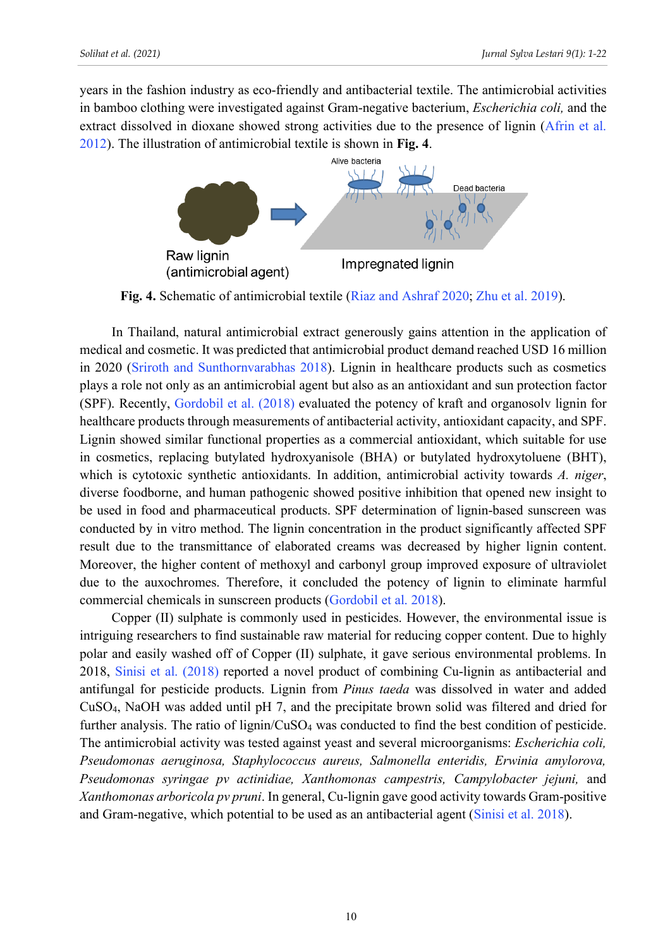years in the fashion industry as eco-friendly and antibacterial textile. The antimicrobial activities in bamboo clothing were investigated against Gram-negative bacterium, *Escherichia coli,* and the extract dissolved in dioxane showed strong activities due to the presence of lignin (Afrin et al. 2012). The illustration of antimicrobial textile is shown in **Fig. 4**.



**Fig. 4.** Schematic of antimicrobial textile (Riaz and Ashraf 2020; Zhu et al. 2019).

In Thailand, natural antimicrobial extract generously gains attention in the application of medical and cosmetic. It was predicted that antimicrobial product demand reached USD 16 million in 2020 (Sriroth and Sunthornvarabhas 2018). Lignin in healthcare products such as cosmetics plays a role not only as an antimicrobial agent but also as an antioxidant and sun protection factor (SPF). Recently, Gordobil et al. (2018) evaluated the potency of kraft and organosolv lignin for healthcare products through measurements of antibacterial activity, antioxidant capacity, and SPF. Lignin showed similar functional properties as a commercial antioxidant, which suitable for use in cosmetics, replacing butylated hydroxyanisole (BHA) or butylated hydroxytoluene (BHT), which is cytotoxic synthetic antioxidants. In addition, antimicrobial activity towards *A. niger*, diverse foodborne, and human pathogenic showed positive inhibition that opened new insight to be used in food and pharmaceutical products. SPF determination of lignin-based sunscreen was conducted by in vitro method. The lignin concentration in the product significantly affected SPF result due to the transmittance of elaborated creams was decreased by higher lignin content. Moreover, the higher content of methoxyl and carbonyl group improved exposure of ultraviolet due to the auxochromes. Therefore, it concluded the potency of lignin to eliminate harmful commercial chemicals in sunscreen products (Gordobil et al. 2018).

Copper (II) sulphate is commonly used in pesticides. However, the environmental issue is intriguing researchers to find sustainable raw material for reducing copper content. Due to highly polar and easily washed off of Copper (II) sulphate, it gave serious environmental problems. In 2018, Sinisi et al. (2018) reported a novel product of combining Cu-lignin as antibacterial and antifungal for pesticide products. Lignin from *Pinus taeda* was dissolved in water and added CuSO4, NaOH was added until pH 7, and the precipitate brown solid was filtered and dried for further analysis. The ratio of lignin/CuSO<sub>4</sub> was conducted to find the best condition of pesticide. The antimicrobial activity was tested against yeast and several microorganisms: *Escherichia coli, Pseudomonas aeruginosa, Staphylococcus aureus, Salmonella enteridis, Erwinia amylorova, Pseudomonas syringae pv actinidiae, Xanthomonas campestris, Campylobacter jejuni,* and *Xanthomonas arboricola pv pruni*. In general, Cu-lignin gave good activity towards Gram-positive and Gram-negative, which potential to be used as an antibacterial agent (Sinisi et al. 2018).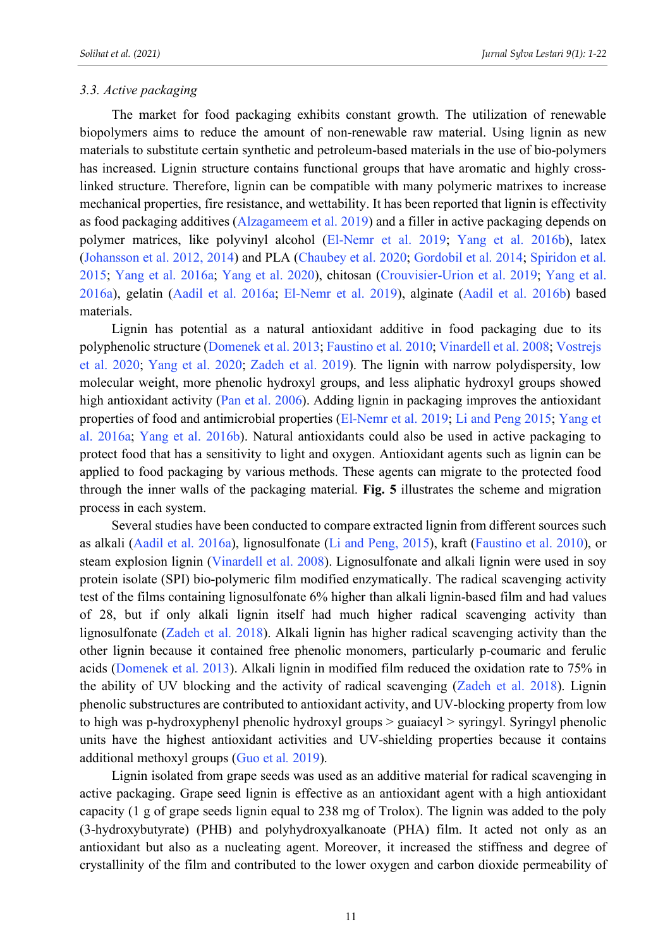#### *3.3. Active packaging*

The market for food packaging exhibits constant growth. The utilization of renewable biopolymers aims to reduce the amount of non-renewable raw material. Using lignin as new materials to substitute certain synthetic and petroleum-based materials in the use of bio-polymers has increased. Lignin structure contains functional groups that have aromatic and highly crosslinked structure. Therefore, lignin can be compatible with many polymeric matrixes to increase mechanical properties, fire resistance, and wettability. It has been reported that lignin is effectivity as food packaging additives (Alzagameem et al. 2019) and a filler in active packaging depends on polymer matrices, like polyvinyl alcohol (El-Nemr et al. 2019; Yang et al. 2016b), latex (Johansson et al. 2012, 2014) and PLA (Chaubey et al. 2020; Gordobil et al. 2014; Spiridon et al. 2015; Yang et al. 2016a; Yang et al. 2020), chitosan (Crouvisier-Urion et al. 2019; Yang et al. 2016a), gelatin (Aadil et al. 2016a; El-Nemr et al. 2019), alginate (Aadil et al. 2016b) based materials.

Lignin has potential as a natural antioxidant additive in food packaging due to its polyphenolic structure (Domenek et al. 2013; Faustino et al. 2010; Vinardell et al. 2008; Vostrejs et al. 2020; Yang et al. 2020; Zadeh et al. 2019). The lignin with narrow polydispersity, low molecular weight, more phenolic hydroxyl groups, and less aliphatic hydroxyl groups showed high antioxidant activity (Pan et al. 2006). Adding lignin in packaging improves the antioxidant properties of food and antimicrobial properties (El-Nemr et al. 2019; Li and Peng 2015; Yang et al. 2016a; Yang et al. 2016b). Natural antioxidants could also be used in active packaging to protect food that has a sensitivity to light and oxygen. Antioxidant agents such as lignin can be applied to food packaging by various methods. These agents can migrate to the protected food through the inner walls of the packaging material. **Fig. 5** illustrates the scheme and migration process in each system.

Several studies have been conducted to compare extracted lignin from different sources such as alkali (Aadil et al. 2016a), lignosulfonate (Li and Peng, 2015), kraft (Faustino et al. 2010), or steam explosion lignin (Vinardell et al. 2008). Lignosulfonate and alkali lignin were used in soy protein isolate (SPI) bio-polymeric film modified enzymatically. The radical scavenging activity test of the films containing lignosulfonate 6% higher than alkali lignin-based film and had values of 28, but if only alkali lignin itself had much higher radical scavenging activity than lignosulfonate (Zadeh et al. 2018). Alkali lignin has higher radical scavenging activity than the other lignin because it contained free phenolic monomers, particularly p-coumaric and ferulic acids (Domenek et al. 2013). Alkali lignin in modified film reduced the oxidation rate to 75% in the ability of UV blocking and the activity of radical scavenging (Zadeh et al. 2018). Lignin phenolic substructures are contributed to antioxidant activity, and UV-blocking property from low to high was p-hydroxyphenyl phenolic hydroxyl groups > guaiacyl > syringyl. Syringyl phenolic units have the highest antioxidant activities and UV-shielding properties because it contains additional methoxyl groups (Guo et al*.* 2019).

Lignin isolated from grape seeds was used as an additive material for radical scavenging in active packaging. Grape seed lignin is effective as an antioxidant agent with a high antioxidant capacity (1 g of grape seeds lignin equal to 238 mg of Trolox). The lignin was added to the poly (3-hydroxybutyrate) (PHB) and polyhydroxyalkanoate (PHA) film. It acted not only as an antioxidant but also as a nucleating agent. Moreover, it increased the stiffness and degree of crystallinity of the film and contributed to the lower oxygen and carbon dioxide permeability of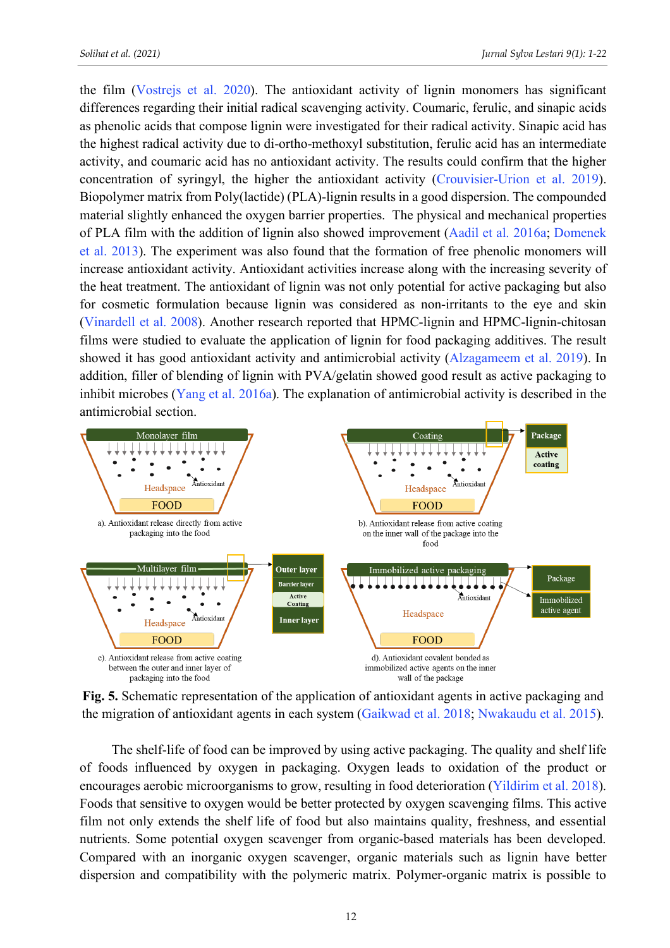the film (Vostrejs et al. 2020). The antioxidant activity of lignin monomers has significant differences regarding their initial radical scavenging activity. Coumaric, ferulic, and sinapic acids as phenolic acids that compose lignin were investigated for their radical activity. Sinapic acid has the highest radical activity due to di-ortho-methoxyl substitution, ferulic acid has an intermediate activity, and coumaric acid has no antioxidant activity. The results could confirm that the higher concentration of syringyl, the higher the antioxidant activity (Crouvisier-Urion et al. 2019). Biopolymer matrix from Poly(lactide) (PLA)-lignin results in a good dispersion. The compounded material slightly enhanced the oxygen barrier properties. The physical and mechanical properties of PLA film with the addition of lignin also showed improvement (Aadil et al. 2016a; Domenek et al. 2013). The experiment was also found that the formation of free phenolic monomers will increase antioxidant activity. Antioxidant activities increase along with the increasing severity of the heat treatment. The antioxidant of lignin was not only potential for active packaging but also for cosmetic formulation because lignin was considered as non-irritants to the eye and skin (Vinardell et al. 2008). Another research reported that HPMC-lignin and HPMC-lignin-chitosan films were studied to evaluate the application of lignin for food packaging additives. The result showed it has good antioxidant activity and antimicrobial activity (Alzagameem et al. 2019). In addition, filler of blending of lignin with PVA/gelatin showed good result as active packaging to inhibit microbes (Yang et al. 2016a). The explanation of antimicrobial activity is described in the antimicrobial section.



**Fig. 5.** Schematic representation of the application of antioxidant agents in active packaging and the migration of antioxidant agents in each system (Gaikwad et al. 2018; Nwakaudu et al. 2015).

The shelf-life of food can be improved by using active packaging. The quality and shelf life of foods influenced by oxygen in packaging. Oxygen leads to oxidation of the product or encourages aerobic microorganisms to grow, resulting in food deterioration (Yildirim et al. 2018). Foods that sensitive to oxygen would be better protected by oxygen scavenging films. This active film not only extends the shelf life of food but also maintains quality, freshness, and essential nutrients. Some potential oxygen scavenger from organic-based materials has been developed. Compared with an inorganic oxygen scavenger, organic materials such as lignin have better dispersion and compatibility with the polymeric matrix. Polymer-organic matrix is possible to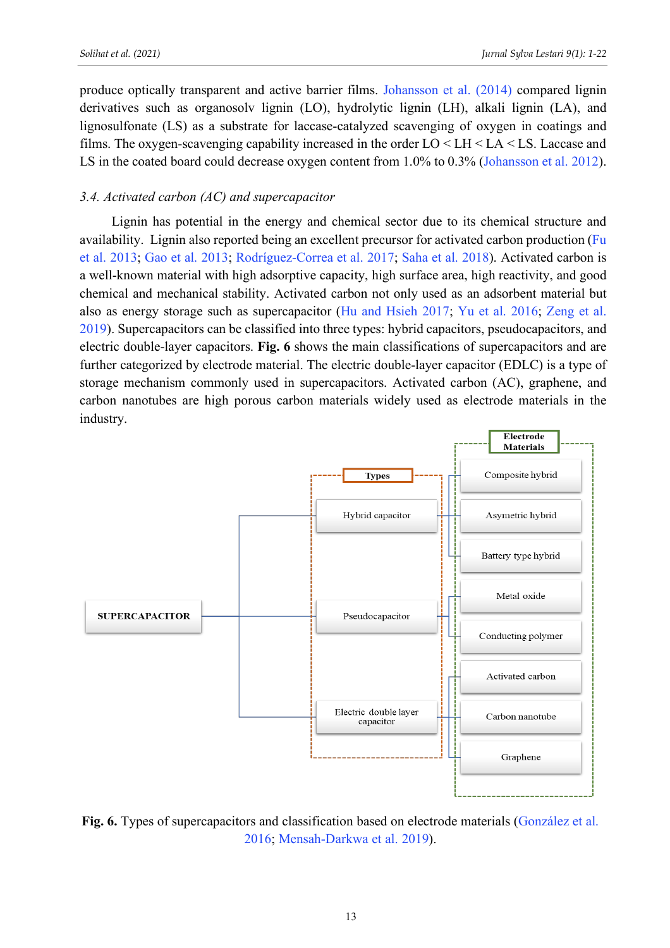produce optically transparent and active barrier films. Johansson et al. (2014) compared lignin derivatives such as organosolv lignin (LO), hydrolytic lignin (LH), alkali lignin (LA), and lignosulfonate (LS) as a substrate for laccase-catalyzed scavenging of oxygen in coatings and films. The oxygen-scavenging capability increased in the order LO < LH < LA < LS. Laccase and LS in the coated board could decrease oxygen content from 1.0% to 0.3% (Johansson et al. 2012).

## *3.4. Activated carbon (AC) and supercapacitor*

Lignin has potential in the energy and chemical sector due to its chemical structure and availability. Lignin also reported being an excellent precursor for activated carbon production (Fu et al. 2013; Gao et al. 2013; Rodríguez-Correa et al. 2017; Saha et al. 2018). Activated carbon is a well-known material with high adsorptive capacity, high surface area, high reactivity, and good chemical and mechanical stability. Activated carbon not only used as an adsorbent material but also as energy storage such as supercapacitor (Hu and Hsieh 2017; Yu et al. 2016; Zeng et al. 2019). Supercapacitors can be classified into three types: hybrid capacitors, pseudocapacitors, and electric double-layer capacitors. **Fig. 6** shows the main classifications of supercapacitors and are further categorized by electrode material. The electric double-layer capacitor (EDLC) is a type of storage mechanism commonly used in supercapacitors. Activated carbon (AC), graphene, and carbon nanotubes are high porous carbon materials widely used as electrode materials in the industry.



**Fig. 6.** Types of supercapacitors and classification based on electrode materials (González et al. 2016; Mensah-Darkwa et al. 2019).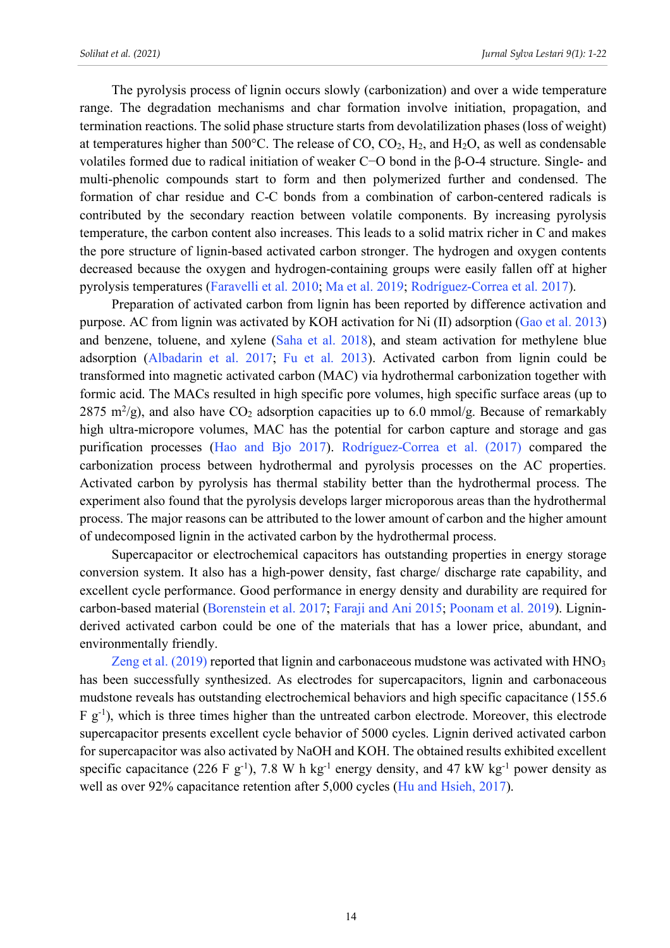The pyrolysis process of lignin occurs slowly (carbonization) and over a wide temperature range. The degradation mechanisms and char formation involve initiation, propagation, and termination reactions. The solid phase structure starts from devolatilization phases (loss of weight) at temperatures higher than  $500^{\circ}$ C. The release of CO, CO<sub>2</sub>, H<sub>2</sub>, and H<sub>2</sub>O, as well as condensable volatiles formed due to radical initiation of weaker C−O bond in the β-O-4 structure. Single- and multi-phenolic compounds start to form and then polymerized further and condensed. The formation of char residue and C-C bonds from a combination of carbon-centered radicals is contributed by the secondary reaction between volatile components. By increasing pyrolysis temperature, the carbon content also increases. This leads to a solid matrix richer in C and makes the pore structure of lignin-based activated carbon stronger. The hydrogen and oxygen contents decreased because the oxygen and hydrogen-containing groups were easily fallen off at higher pyrolysis temperatures (Faravelli et al. 2010; Ma et al. 2019; Rodríguez-Correa et al. 2017).

Preparation of activated carbon from lignin has been reported by difference activation and purpose. AC from lignin was activated by KOH activation for Ni (II) adsorption (Gao et al. 2013) and benzene, toluene, and xylene (Saha et al. 2018), and steam activation for methylene blue adsorption (Albadarin et al. 2017; Fu et al. 2013). Activated carbon from lignin could be transformed into magnetic activated carbon (MAC) via hydrothermal carbonization together with formic acid. The MACs resulted in high specific pore volumes, high specific surface areas (up to 2875 m<sup>2</sup>/g), and also have CO<sub>2</sub> adsorption capacities up to 6.0 mmol/g. Because of remarkably high ultra-micropore volumes, MAC has the potential for carbon capture and storage and gas purification processes (Hao and Bjo 2017). Rodríguez-Correa et al. (2017) compared the carbonization process between hydrothermal and pyrolysis processes on the AC properties. Activated carbon by pyrolysis has thermal stability better than the hydrothermal process. The experiment also found that the pyrolysis develops larger microporous areas than the hydrothermal process. The major reasons can be attributed to the lower amount of carbon and the higher amount of undecomposed lignin in the activated carbon by the hydrothermal process.

Supercapacitor or electrochemical capacitors has outstanding properties in energy storage conversion system. It also has a high-power density, fast charge/ discharge rate capability, and excellent cycle performance. Good performance in energy density and durability are required for carbon-based material (Borenstein et al. 2017; Faraji and Ani 2015; Poonam et al. 2019). Ligninderived activated carbon could be one of the materials that has a lower price, abundant, and environmentally friendly.

Zeng et al. (2019) reported that lignin and carbonaceous mudstone was activated with HNO<sub>3</sub> has been successfully synthesized. As electrodes for supercapacitors, lignin and carbonaceous mudstone reveals has outstanding electrochemical behaviors and high specific capacitance (155.6 F g-1 ), which is three times higher than the untreated carbon electrode. Moreover, this electrode supercapacitor presents excellent cycle behavior of 5000 cycles. Lignin derived activated carbon for supercapacitor was also activated by NaOH and KOH. The obtained results exhibited excellent specific capacitance (226 F g<sup>-1</sup>), 7.8 W h kg<sup>-1</sup> energy density, and 47 kW kg<sup>-1</sup> power density as well as over 92% capacitance retention after 5,000 cycles (Hu and Hsieh, 2017).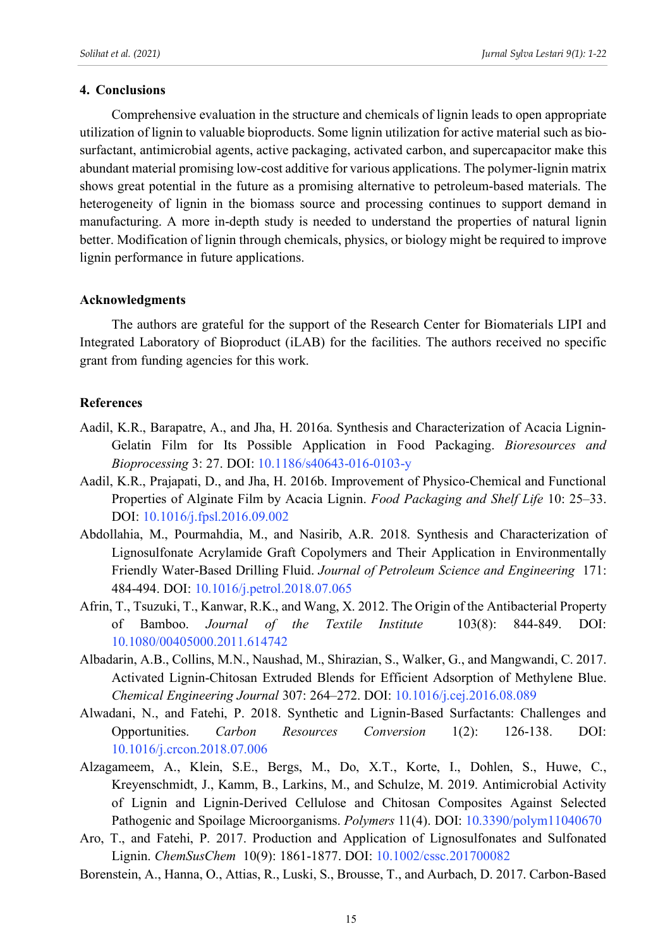# **4. Conclusions**

Comprehensive evaluation in the structure and chemicals of lignin leads to open appropriate utilization of lignin to valuable bioproducts. Some lignin utilization for active material such as biosurfactant, antimicrobial agents, active packaging, activated carbon, and supercapacitor make this abundant material promising low-cost additive for various applications. The polymer-lignin matrix shows great potential in the future as a promising alternative to petroleum-based materials. The heterogeneity of lignin in the biomass source and processing continues to support demand in manufacturing. A more in-depth study is needed to understand the properties of natural lignin better. Modification of lignin through chemicals, physics, or biology might be required to improve lignin performance in future applications.

# **Acknowledgments**

The authors are grateful for the support of the Research Center for Biomaterials LIPI and Integrated Laboratory of Bioproduct (iLAB) for the facilities. The authors received no specific grant from funding agencies for this work.

# **References**

- Aadil, K.R., Barapatre, A., and Jha, H. 2016a. Synthesis and Characterization of Acacia Lignin-Gelatin Film for Its Possible Application in Food Packaging. *Bioresources and Bioprocessing* 3: 27. DOI: 10.1186/s40643-016-0103-y
- Aadil, K.R., Prajapati, D., and Jha, H. 2016b. Improvement of Physico-Chemical and Functional Properties of Alginate Film by Acacia Lignin. *Food Packaging and Shelf Life* 10: 25–33. DOI: 10.1016/j.fpsl.2016.09.002
- Abdollahia, M., Pourmahdia, M., and Nasirib, A.R. 2018. Synthesis and Characterization of Lignosulfonate Acrylamide Graft Copolymers and Their Application in Environmentally Friendly Water-Based Drilling Fluid. *Journal of Petroleum Science and Engineering* 171: 484-494. DOI: 10.1016/j.petrol.2018.07.065
- Afrin, T., Tsuzuki, T., Kanwar, R.K., and Wang, X. 2012. The Origin of the Antibacterial Property of Bamboo. *Journal of the Textile Institute* 103(8): 844-849. DOI: 10.1080/00405000.2011.614742
- Albadarin, A.B., Collins, M.N., Naushad, M., Shirazian, S., Walker, G., and Mangwandi, C. 2017. Activated Lignin-Chitosan Extruded Blends for Efficient Adsorption of Methylene Blue. *Chemical Engineering Journal* 307: 264–272. DOI: 10.1016/j.cej.2016.08.089
- Alwadani, N., and Fatehi, P. 2018. Synthetic and Lignin-Based Surfactants: Challenges and Opportunities. *Carbon Resources Conversion* 1(2): 126-138. DOI: 10.1016/j.crcon.2018.07.006
- Alzagameem, A., Klein, S.E., Bergs, M., Do, X.T., Korte, I., Dohlen, S., Huwe, C., Kreyenschmidt, J., Kamm, B., Larkins, M., and Schulze, M. 2019. Antimicrobial Activity of Lignin and Lignin-Derived Cellulose and Chitosan Composites Against Selected Pathogenic and Spoilage Microorganisms. *Polymers* 11(4). DOI: 10.3390/polym11040670
- Aro, T., and Fatehi, P. 2017. Production and Application of Lignosulfonates and Sulfonated Lignin. *ChemSusChem* 10(9): 1861-1877. DOI: 10.1002/cssc.201700082
- Borenstein, A., Hanna, O., Attias, R., Luski, S., Brousse, T., and Aurbach, D. 2017. Carbon-Based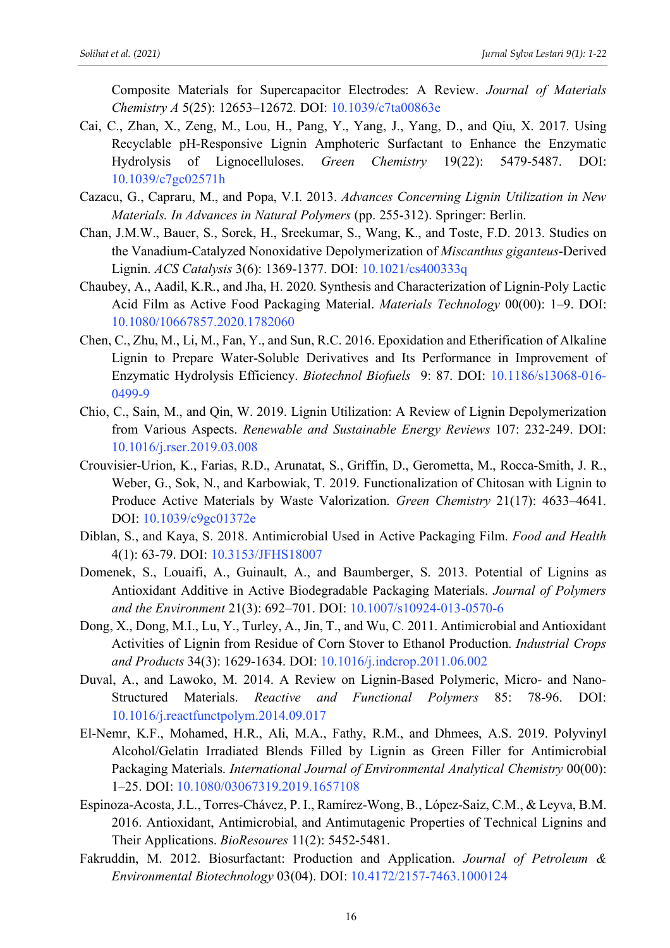Composite Materials for Supercapacitor Electrodes: A Review. *Journal of Materials Chemistry A* 5(25): 12653–12672. DOI: 10.1039/c7ta00863e

- Cai, C., Zhan, X., Zeng, M., Lou, H., Pang, Y., Yang, J., Yang, D., and Qiu, X. 2017. Using Recyclable pH-Responsive Lignin Amphoteric Surfactant to Enhance the Enzymatic Hydrolysis of Lignocelluloses. *Green Chemistry* 19(22): 5479-5487. DOI: 10.1039/c7gc02571h
- Cazacu, G., Capraru, M., and Popa, V.I. 2013. *Advances Concerning Lignin Utilization in New Materials. In Advances in Natural Polymers* (pp. 255-312). Springer: Berlin.
- Chan, J.M.W., Bauer, S., Sorek, H., Sreekumar, S., Wang, K., and Toste, F.D. 2013. Studies on the Vanadium-Catalyzed Nonoxidative Depolymerization of *Miscanthus giganteus*-Derived Lignin. *ACS Catalysis* 3(6): 1369-1377. DOI: 10.1021/cs400333q
- Chaubey, A., Aadil, K.R., and Jha, H. 2020. Synthesis and Characterization of Lignin-Poly Lactic Acid Film as Active Food Packaging Material. *Materials Technology* 00(00): 1–9. DOI: 10.1080/10667857.2020.1782060
- Chen, C., Zhu, M., Li, M., Fan, Y., and Sun, R.C. 2016. Epoxidation and Etherification of Alkaline Lignin to Prepare Water-Soluble Derivatives and Its Performance in Improvement of Enzymatic Hydrolysis Efficiency. *Biotechnol Biofuels* 9: 87. DOI: 10.1186/s13068-016- 0499-9
- Chio, C., Sain, M., and Qin, W. 2019. Lignin Utilization: A Review of Lignin Depolymerization from Various Aspects. *Renewable and Sustainable Energy Reviews* 107: 232-249. DOI: 10.1016/j.rser.2019.03.008
- Crouvisier-Urion, K., Farias, R.D., Arunatat, S., Griffin, D., Gerometta, M., Rocca-Smith, J. R., Weber, G., Sok, N., and Karbowiak, T. 2019. Functionalization of Chitosan with Lignin to Produce Active Materials by Waste Valorization. *Green Chemistry* 21(17): 4633–4641. DOI: 10.1039/c9gc01372e
- Diblan, S., and Kaya, S. 2018. Antimicrobial Used in Active Packaging Film. *Food and Health* 4(1): 63-79. DOI: 10.3153/JFHS18007
- Domenek, S., Louaifi, A., Guinault, A., and Baumberger, S. 2013. Potential of Lignins as Antioxidant Additive in Active Biodegradable Packaging Materials. *Journal of Polymers and the Environment* 21(3): 692–701. DOI: 10.1007/s10924-013-0570-6
- Dong, X., Dong, M.I., Lu, Y., Turley, A., Jin, T., and Wu, C. 2011. Antimicrobial and Antioxidant Activities of Lignin from Residue of Corn Stover to Ethanol Production. *Industrial Crops and Products* 34(3): 1629-1634. DOI: 10.1016/j.indcrop.2011.06.002
- Duval, A., and Lawoko, M. 2014. A Review on Lignin-Based Polymeric, Micro- and Nano-Structured Materials. *Reactive and Functional Polymers* 85: 78-96. DOI: 10.1016/j.reactfunctpolym.2014.09.017
- El-Nemr, K.F., Mohamed, H.R., Ali, M.A., Fathy, R.M., and Dhmees, A.S. 2019. Polyvinyl Alcohol/Gelatin Irradiated Blends Filled by Lignin as Green Filler for Antimicrobial Packaging Materials. *International Journal of Environmental Analytical Chemistry* 00(00): 1–25. DOI: 10.1080/03067319.2019.1657108
- Espinoza-Acosta, J.L., Torres-Chávez, P. I., Ramírez-Wong, B., López-Saiz, C.M., & Leyva, B.M. 2016. Antioxidant, Antimicrobial, and Antimutagenic Properties of Technical Lignins and Their Applications. *BioResoures* 11(2): 5452-5481.
- Fakruddin, M. 2012. Biosurfactant: Production and Application. *Journal of Petroleum & Environmental Biotechnology* 03(04). DOI: 10.4172/2157-7463.1000124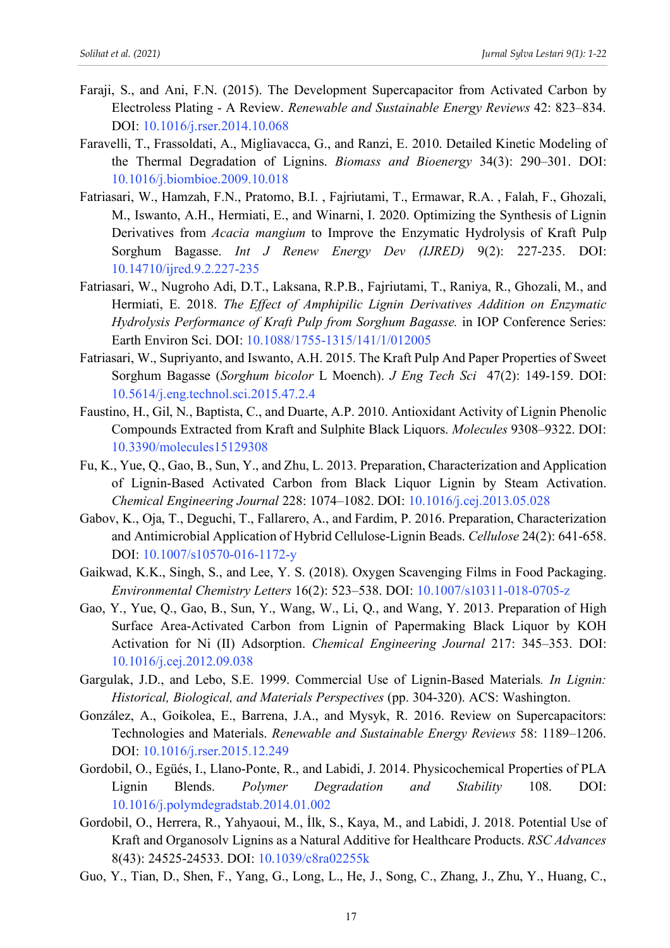- Faraji, S., and Ani, F.N. (2015). The Development Supercapacitor from Activated Carbon by Electroless Plating - A Review. *Renewable and Sustainable Energy Reviews* 42: 823–834. DOI: 10.1016/j.rser.2014.10.068
- Faravelli, T., Frassoldati, A., Migliavacca, G., and Ranzi, E. 2010. Detailed Kinetic Modeling of the Thermal Degradation of Lignins. *Biomass and Bioenergy* 34(3): 290–301. DOI: 10.1016/j.biombioe.2009.10.018
- Fatriasari, W., Hamzah, F.N., Pratomo, B.I. , Fajriutami, T., Ermawar, R.A. , Falah, F., Ghozali, M., Iswanto, A.H., Hermiati, E., and Winarni, I. 2020. Optimizing the Synthesis of Lignin Derivatives from *Acacia mangium* to Improve the Enzymatic Hydrolysis of Kraft Pulp Sorghum Bagasse. *Int J Renew Energy Dev (IJRED)* 9(2): 227-235. DOI: 10.14710/ijred.9.2.227-235
- Fatriasari, W., Nugroho Adi, D.T., Laksana, R.P.B., Fajriutami, T., Raniya, R., Ghozali, M., and Hermiati, E. 2018. *The Effect of Amphipilic Lignin Derivatives Addition on Enzymatic Hydrolysis Performance of Kraft Pulp from Sorghum Bagasse.* in IOP Conference Series: Earth Environ Sci. DOI: 10.1088/1755-1315/141/1/012005
- Fatriasari, W., Supriyanto, and Iswanto, A.H. 2015. The Kraft Pulp And Paper Properties of Sweet Sorghum Bagasse (*Sorghum bicolor* L Moench). *J Eng Tech Sci* 47(2): 149-159. DOI: 10.5614/j.eng.technol.sci.2015.47.2.4
- Faustino, H., Gil, N., Baptista, C., and Duarte, A.P. 2010. Antioxidant Activity of Lignin Phenolic Compounds Extracted from Kraft and Sulphite Black Liquors. *Molecules* 9308–9322. DOI: 10.3390/molecules15129308
- Fu, K., Yue, Q., Gao, B., Sun, Y., and Zhu, L. 2013. Preparation, Characterization and Application of Lignin-Based Activated Carbon from Black Liquor Lignin by Steam Activation. *Chemical Engineering Journal* 228: 1074–1082. DOI: 10.1016/j.cej.2013.05.028
- Gabov, K., Oja, T., Deguchi, T., Fallarero, A., and Fardim, P. 2016. Preparation, Characterization and Antimicrobial Application of Hybrid Cellulose-Lignin Beads. *Cellulose* 24(2): 641-658. DOI: 10.1007/s10570-016-1172-y
- Gaikwad, K.K., Singh, S., and Lee, Y. S. (2018). Oxygen Scavenging Films in Food Packaging. *Environmental Chemistry Letters* 16(2): 523–538. DOI: 10.1007/s10311-018-0705-z
- Gao, Y., Yue, Q., Gao, B., Sun, Y., Wang, W., Li, Q., and Wang, Y. 2013. Preparation of High Surface Area-Activated Carbon from Lignin of Papermaking Black Liquor by KOH Activation for Ni (II) Adsorption. *Chemical Engineering Journal* 217: 345–353. DOI: 10.1016/j.cej.2012.09.038
- Gargulak, J.D., and Lebo, S.E. 1999. Commercial Use of Lignin-Based Materials*. In Lignin: Historical, Biological, and Materials Perspectives* (pp. 304-320). ACS: Washington.
- González, A., Goikolea, E., Barrena, J.A., and Mysyk, R. 2016. Review on Supercapacitors: Technologies and Materials. *Renewable and Sustainable Energy Reviews* 58: 1189–1206. DOI: 10.1016/j.rser.2015.12.249
- Gordobil, O., Egüés, I., Llano-Ponte, R., and Labidi, J. 2014. Physicochemical Properties of PLA Lignin Blends. *Polymer Degradation and Stability* 108. DOI: 10.1016/j.polymdegradstab.2014.01.002
- Gordobil, O., Herrera, R., Yahyaoui, M., İlk, S., Kaya, M., and Labidi, J. 2018. Potential Use of Kraft and Organosolv Lignins as a Natural Additive for Healthcare Products. *RSC Advances* 8(43): 24525-24533. DOI: 10.1039/c8ra02255k
- Guo, Y., Tian, D., Shen, F., Yang, G., Long, L., He, J., Song, C., Zhang, J., Zhu, Y., Huang, C.,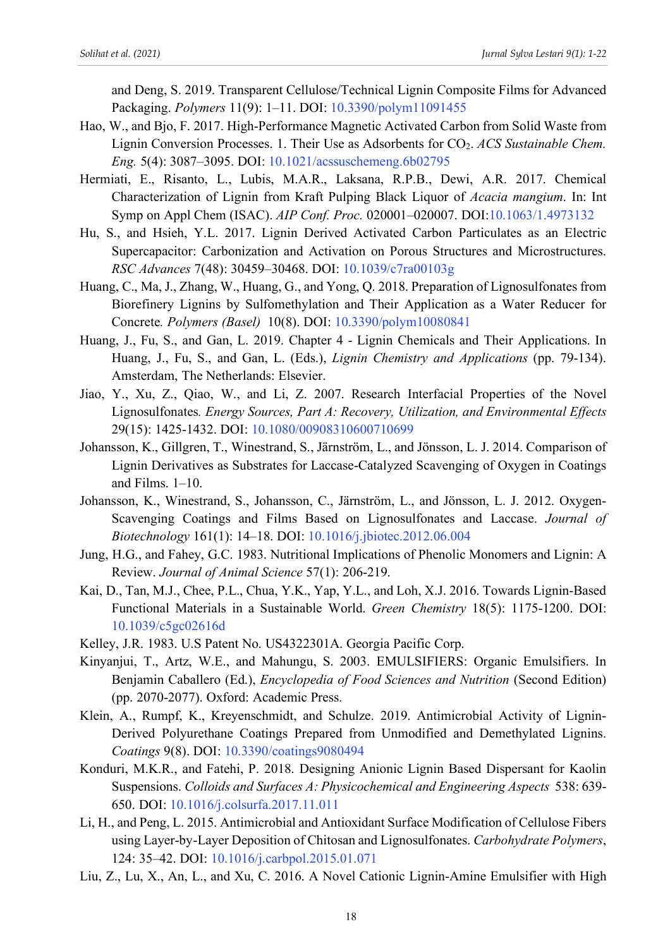and Deng, S. 2019. Transparent Cellulose/Technical Lignin Composite Films for Advanced Packaging. *Polymers* 11(9): 1–11. DOI: 10.3390/polym11091455

- Hao, W., and Bjo, F. 2017. High-Performance Magnetic Activated Carbon from Solid Waste from Lignin Conversion Processes. 1. Their Use as Adsorbents for CO<sub>2</sub>. *ACS Sustainable Chem. Eng.* 5(4): 3087–3095. DOI: 10.1021/acssuschemeng.6b02795
- Hermiati, E., Risanto, L., Lubis, M.A.R., Laksana, R.P.B., Dewi, A.R. 2017. Chemical Characterization of Lignin from Kraft Pulping Black Liquor of *Acacia mangium*. In: Int Symp on Appl Chem (ISAC). *AIP Conf. Proc.* 020001–020007. DOI:10.1063/1.4973132
- Hu, S., and Hsieh, Y.L. 2017. Lignin Derived Activated Carbon Particulates as an Electric Supercapacitor: Carbonization and Activation on Porous Structures and Microstructures. *RSC Advances* 7(48): 30459–30468. DOI: 10.1039/c7ra00103g
- Huang, C., Ma, J., Zhang, W., Huang, G., and Yong, Q. 2018. Preparation of Lignosulfonates from Biorefinery Lignins by Sulfomethylation and Their Application as a Water Reducer for Concrete*. Polymers (Basel)* 10(8). DOI: 10.3390/polym10080841
- Huang, J., Fu, S., and Gan, L. 2019. Chapter 4 Lignin Chemicals and Their Applications. In Huang, J., Fu, S., and Gan, L. (Eds.), *Lignin Chemistry and Applications* (pp. 79-134). Amsterdam, The Netherlands: Elsevier.
- Jiao, Y., Xu, Z., Qiao, W., and Li, Z. 2007. Research Interfacial Properties of the Novel Lignosulfonates*. Energy Sources, Part A: Recovery, Utilization, and Environmental Effects* 29(15): 1425-1432. DOI: 10.1080/00908310600710699
- Johansson, K., Gillgren, T., Winestrand, S., Järnström, L., and Jönsson, L. J. 2014. Comparison of Lignin Derivatives as Substrates for Laccase-Catalyzed Scavenging of Oxygen in Coatings and Films. 1–10.
- Johansson, K., Winestrand, S., Johansson, C., Järnström, L., and Jönsson, L. J. 2012. Oxygen-Scavenging Coatings and Films Based on Lignosulfonates and Laccase. *Journal of Biotechnology* 161(1): 14–18. DOI: 10.1016/j.jbiotec.2012.06.004
- Jung, H.G., and Fahey, G.C. 1983. Nutritional Implications of Phenolic Monomers and Lignin: A Review. *Journal of Animal Science* 57(1): 206-219.
- Kai, D., Tan, M.J., Chee, P.L., Chua, Y.K., Yap, Y.L., and Loh, X.J. 2016. Towards Lignin-Based Functional Materials in a Sustainable World. *Green Chemistry* 18(5): 1175-1200. DOI: 10.1039/c5gc02616d
- Kelley, J.R. 1983. U.S Patent No. US4322301A. Georgia Pacific Corp.
- Kinyanjui, T., Artz, W.E., and Mahungu, S. 2003. EMULSIFIERS: Organic Emulsifiers. In Benjamin Caballero (Ed.), *Encyclopedia of Food Sciences and Nutrition* (Second Edition) (pp. 2070-2077). Oxford: Academic Press.
- Klein, A., Rumpf, K., Kreyenschmidt, and Schulze. 2019. Antimicrobial Activity of Lignin-Derived Polyurethane Coatings Prepared from Unmodified and Demethylated Lignins. *Coatings* 9(8). DOI: 10.3390/coatings9080494
- Konduri, M.K.R., and Fatehi, P. 2018. Designing Anionic Lignin Based Dispersant for Kaolin Suspensions. *Colloids and Surfaces A: Physicochemical and Engineering Aspects* 538: 639- 650. DOI: 10.1016/j.colsurfa.2017.11.011
- Li, H., and Peng, L. 2015. Antimicrobial and Antioxidant Surface Modification of Cellulose Fibers using Layer-by-Layer Deposition of Chitosan and Lignosulfonates. *Carbohydrate Polymers*, 124: 35–42. DOI: 10.1016/j.carbpol.2015.01.071
- Liu, Z., Lu, X., An, L., and Xu, C. 2016. A Novel Cationic Lignin-Amine Emulsifier with High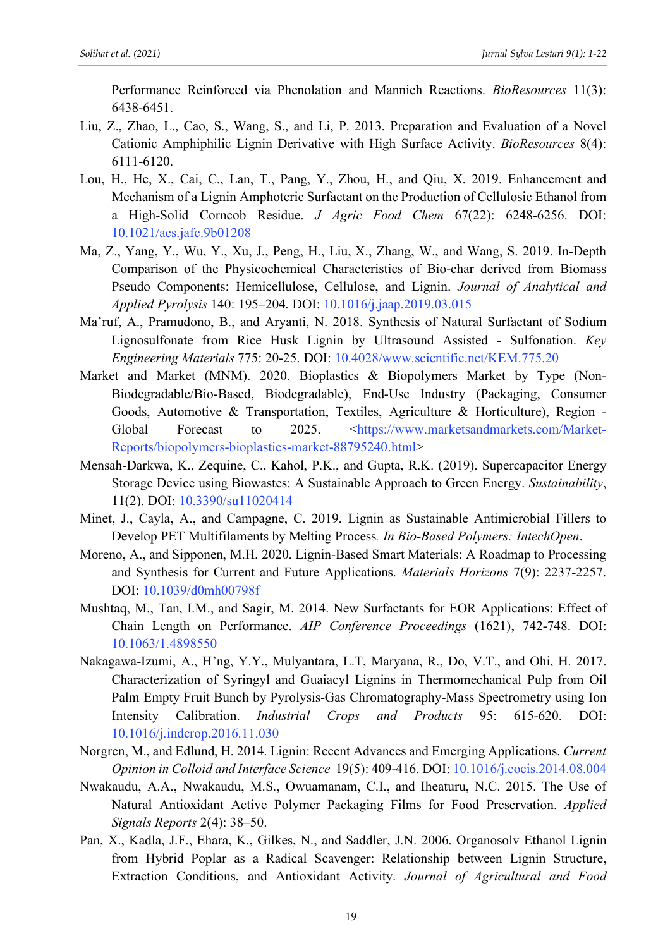Performance Reinforced via Phenolation and Mannich Reactions. *BioResources* 11(3): 6438-6451.

- Liu, Z., Zhao, L., Cao, S., Wang, S., and Li, P. 2013. Preparation and Evaluation of a Novel Cationic Amphiphilic Lignin Derivative with High Surface Activity. *BioResources* 8(4): 6111-6120.
- Lou, H., He, X., Cai, C., Lan, T., Pang, Y., Zhou, H., and Qiu, X. 2019. Enhancement and Mechanism of a Lignin Amphoteric Surfactant on the Production of Cellulosic Ethanol from a High-Solid Corncob Residue. *J Agric Food Chem* 67(22): 6248-6256. DOI: 10.1021/acs.jafc.9b01208
- Ma, Z., Yang, Y., Wu, Y., Xu, J., Peng, H., Liu, X., Zhang, W., and Wang, S. 2019. In-Depth Comparison of the Physicochemical Characteristics of Bio-char derived from Biomass Pseudo Components: Hemicellulose, Cellulose, and Lignin. *Journal of Analytical and Applied Pyrolysis* 140: 195–204. DOI: 10.1016/j.jaap.2019.03.015
- Ma'ruf, A., Pramudono, B., and Aryanti, N. 2018. Synthesis of Natural Surfactant of Sodium Lignosulfonate from Rice Husk Lignin by Ultrasound Assisted - Sulfonation. *Key Engineering Materials* 775: 20-25. DOI: 10.4028/www.scientific.net/KEM.775.20
- Market and Market (MNM). 2020. Bioplastics & Biopolymers Market by Type (Non-Biodegradable/Bio-Based, Biodegradable), End-Use Industry (Packaging, Consumer Goods, Automotive & Transportation, Textiles, Agriculture & Horticulture), Region - Global Forecast to 2025. <https://www.marketsandmarkets.com/Market-Reports/biopolymers-bioplastics-market-88795240.html>
- Mensah-Darkwa, K., Zequine, C., Kahol, P.K., and Gupta, R.K. (2019). Supercapacitor Energy Storage Device using Biowastes: A Sustainable Approach to Green Energy. *Sustainability*, 11(2). DOI: 10.3390/su11020414
- Minet, J., Cayla, A., and Campagne, C. 2019. Lignin as Sustainable Antimicrobial Fillers to Develop PET Multifilaments by Melting Process*. In Bio-Based Polymers: IntechOpen*.
- Moreno, A., and Sipponen, M.H. 2020. Lignin-Based Smart Materials: A Roadmap to Processing and Synthesis for Current and Future Applications. *Materials Horizons* 7(9): 2237-2257. DOI: 10.1039/d0mh00798f
- Mushtaq, M., Tan, I.M., and Sagir, M. 2014. New Surfactants for EOR Applications: Effect of Chain Length on Performance. *AIP Conference Proceedings* (1621), 742-748. DOI: 10.1063/1.4898550
- Nakagawa-Izumi, A., H'ng, Y.Y., Mulyantara, L.T, Maryana, R., Do, V.T., and Ohi, H. 2017. Characterization of Syringyl and Guaiacyl Lignins in Thermomechanical Pulp from Oil Palm Empty Fruit Bunch by Pyrolysis-Gas Chromatography-Mass Spectrometry using Ion Intensity Calibration. *Industrial Crops and Products* 95: 615-620. DOI: 10.1016/j.indcrop.2016.11.030
- Norgren, M., and Edlund, H. 2014. Lignin: Recent Advances and Emerging Applications. *Current Opinion in Colloid and Interface Science* 19(5): 409-416. DOI: 10.1016/j.cocis.2014.08.004
- Nwakaudu, A.A., Nwakaudu, M.S., Owuamanam, C.I., and Iheaturu, N.C. 2015. The Use of Natural Antioxidant Active Polymer Packaging Films for Food Preservation. *Applied Signals Reports* 2(4): 38–50.
- Pan, X., Kadla, J.F., Ehara, K., Gilkes, N., and Saddler, J.N. 2006. Organosolv Ethanol Lignin from Hybrid Poplar as a Radical Scavenger: Relationship between Lignin Structure, Extraction Conditions, and Antioxidant Activity. *Journal of Agricultural and Food*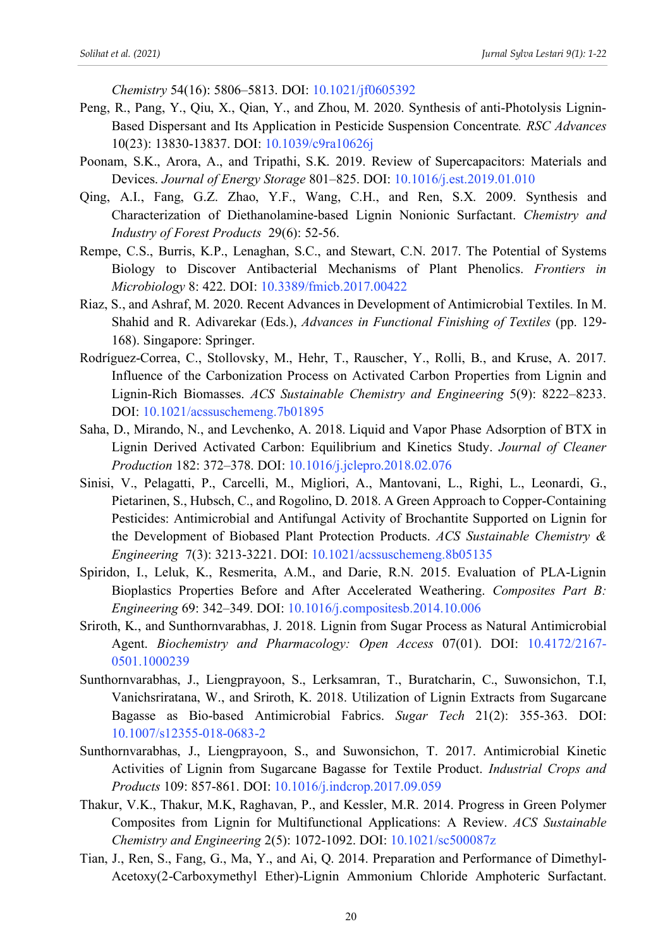*Chemistry* 54(16): 5806–5813. DOI: 10.1021/jf0605392

- Peng, R., Pang, Y., Qiu, X., Qian, Y., and Zhou, M. 2020. Synthesis of anti-Photolysis Lignin-Based Dispersant and Its Application in Pesticide Suspension Concentrate*. RSC Advances* 10(23): 13830-13837. DOI: 10.1039/c9ra10626j
- Poonam, S.K., Arora, A., and Tripathi, S.K. 2019. Review of Supercapacitors: Materials and Devices. *Journal of Energy Storage* 801–825. DOI: 10.1016/j.est.2019.01.010
- Qing, A.I., Fang, G.Z. Zhao, Y.F., Wang, C.H., and Ren, S.X. 2009. Synthesis and Characterization of Diethanolamine-based Lignin Nonionic Surfactant. *Chemistry and Industry of Forest Products* 29(6): 52-56.
- Rempe, C.S., Burris, K.P., Lenaghan, S.C., and Stewart, C.N. 2017. The Potential of Systems Biology to Discover Antibacterial Mechanisms of Plant Phenolics. *Frontiers in Microbiology* 8: 422. DOI: 10.3389/fmicb.2017.00422
- Riaz, S., and Ashraf, M. 2020. Recent Advances in Development of Antimicrobial Textiles. In M. Shahid and R. Adivarekar (Eds.), *Advances in Functional Finishing of Textiles* (pp. 129- 168). Singapore: Springer.
- Rodríguez-Correa, C., Stollovsky, M., Hehr, T., Rauscher, Y., Rolli, B., and Kruse, A. 2017. Influence of the Carbonization Process on Activated Carbon Properties from Lignin and Lignin-Rich Biomasses. *ACS Sustainable Chemistry and Engineering* 5(9): 8222–8233. DOI: 10.1021/acssuschemeng.7b01895
- Saha, D., Mirando, N., and Levchenko, A. 2018. Liquid and Vapor Phase Adsorption of BTX in Lignin Derived Activated Carbon: Equilibrium and Kinetics Study. *Journal of Cleaner Production* 182: 372–378. DOI: 10.1016/j.jclepro.2018.02.076
- Sinisi, V., Pelagatti, P., Carcelli, M., Migliori, A., Mantovani, L., Righi, L., Leonardi, G., Pietarinen, S., Hubsch, C., and Rogolino, D. 2018. A Green Approach to Copper-Containing Pesticides: Antimicrobial and Antifungal Activity of Brochantite Supported on Lignin for the Development of Biobased Plant Protection Products. *ACS Sustainable Chemistry & Engineering* 7(3): 3213-3221. DOI: 10.1021/acssuschemeng.8b05135
- Spiridon, I., Leluk, K., Resmerita, A.M., and Darie, R.N. 2015. Evaluation of PLA-Lignin Bioplastics Properties Before and After Accelerated Weathering. *Composites Part B: Engineering* 69: 342–349. DOI: 10.1016/j.compositesb.2014.10.006
- Sriroth, K., and Sunthornvarabhas, J. 2018. Lignin from Sugar Process as Natural Antimicrobial Agent. *Biochemistry and Pharmacology: Open Access* 07(01). DOI: 10.4172/2167- 0501.1000239
- Sunthornvarabhas, J., Liengprayoon, S., Lerksamran, T., Buratcharin, C., Suwonsichon, T.I, Vanichsriratana, W., and Sriroth, K. 2018. Utilization of Lignin Extracts from Sugarcane Bagasse as Bio-based Antimicrobial Fabrics. *Sugar Tech* 21(2): 355-363. DOI: 10.1007/s12355-018-0683-2
- Sunthornvarabhas, J., Liengprayoon, S., and Suwonsichon, T. 2017. Antimicrobial Kinetic Activities of Lignin from Sugarcane Bagasse for Textile Product. *Industrial Crops and Products* 109: 857-861. DOI: 10.1016/j.indcrop.2017.09.059
- Thakur, V.K., Thakur, M.K, Raghavan, P., and Kessler, M.R. 2014. Progress in Green Polymer Composites from Lignin for Multifunctional Applications: A Review. *ACS Sustainable Chemistry and Engineering* 2(5): 1072-1092. DOI: 10.1021/sc500087z
- Tian, J., Ren, S., Fang, G., Ma, Y., and Ai, Q. 2014. Preparation and Performance of Dimethyl-Acetoxy(2-Carboxymethyl Ether)-Lignin Ammonium Chloride Amphoteric Surfactant.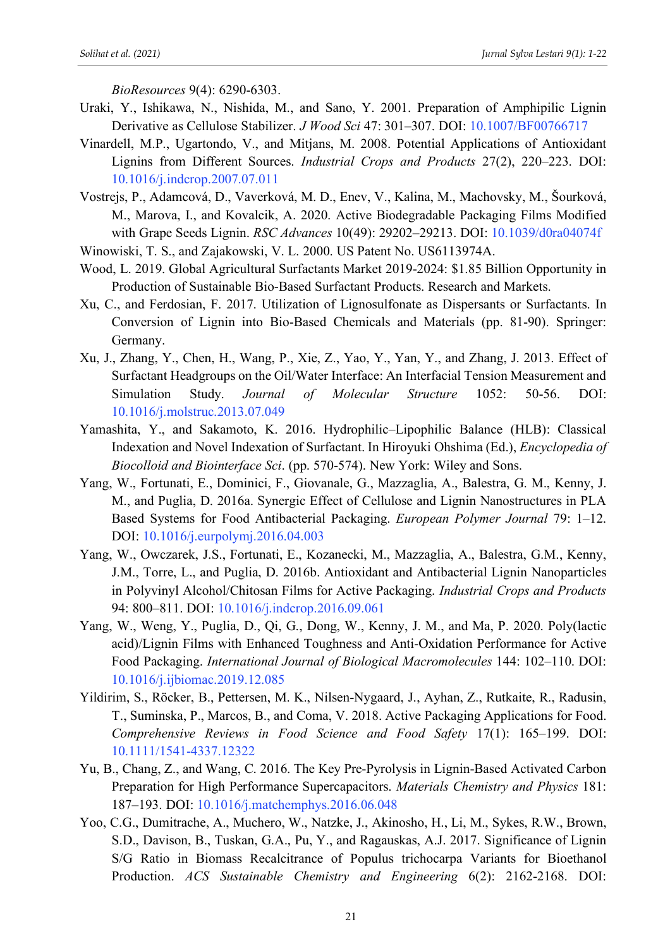*BioResources* 9(4): 6290-6303.

- Uraki, Y., Ishikawa, N., Nishida, M., and Sano, Y. 2001. Preparation of Amphipilic Lignin Derivative as Cellulose Stabilizer. *J Wood Sci* 47: 301–307. DOI: 10.1007/BF00766717
- Vinardell, M.P., Ugartondo, V., and Mitjans, M. 2008. Potential Applications of Antioxidant Lignins from Different Sources. *Industrial Crops and Products* 27(2), 220–223. DOI: 10.1016/j.indcrop.2007.07.011
- Vostrejs, P., Adamcová, D., Vaverková, M. D., Enev, V., Kalina, M., Machovsky, M., Šourková, M., Marova, I., and Kovalcik, A. 2020. Active Biodegradable Packaging Films Modified with Grape Seeds Lignin. *RSC Advances* 10(49): 29202–29213. DOI: 10.1039/d0ra04074f
- Winowiski, T. S., and Zajakowski, V. L. 2000. US Patent No. US6113974A.
- Wood, L. 2019. Global Agricultural Surfactants Market 2019-2024: \$1.85 Billion Opportunity in Production of Sustainable Bio-Based Surfactant Products. Research and Markets.
- Xu, C., and Ferdosian, F. 2017. Utilization of Lignosulfonate as Dispersants or Surfactants. In Conversion of Lignin into Bio-Based Chemicals and Materials (pp. 81-90). Springer: Germany.
- Xu, J., Zhang, Y., Chen, H., Wang, P., Xie, Z., Yao, Y., Yan, Y., and Zhang, J. 2013. Effect of Surfactant Headgroups on the Oil/Water Interface: An Interfacial Tension Measurement and Simulation Study. *Journal of Molecular Structure* 1052: 50-56. DOI: 10.1016/j.molstruc.2013.07.049
- Yamashita, Y., and Sakamoto, K. 2016. Hydrophilic–Lipophilic Balance (HLB): Classical Indexation and Novel Indexation of Surfactant. In Hiroyuki Ohshima (Ed.), *Encyclopedia of Biocolloid and Biointerface Sci*. (pp. 570-574). New York: Wiley and Sons.
- Yang, W., Fortunati, E., Dominici, F., Giovanale, G., Mazzaglia, A., Balestra, G. M., Kenny, J. M., and Puglia, D. 2016a. Synergic Effect of Cellulose and Lignin Nanostructures in PLA Based Systems for Food Antibacterial Packaging. *European Polymer Journal* 79: 1–12. DOI: 10.1016/j.eurpolymj.2016.04.003
- Yang, W., Owczarek, J.S., Fortunati, E., Kozanecki, M., Mazzaglia, A., Balestra, G.M., Kenny, J.M., Torre, L., and Puglia, D. 2016b. Antioxidant and Antibacterial Lignin Nanoparticles in Polyvinyl Alcohol/Chitosan Films for Active Packaging. *Industrial Crops and Products* 94: 800–811. DOI: 10.1016/j.indcrop.2016.09.061
- Yang, W., Weng, Y., Puglia, D., Qi, G., Dong, W., Kenny, J. M., and Ma, P. 2020. Poly(lactic acid)/Lignin Films with Enhanced Toughness and Anti-Oxidation Performance for Active Food Packaging. *International Journal of Biological Macromolecules* 144: 102–110. DOI: 10.1016/j.ijbiomac.2019.12.085
- Yildirim, S., Röcker, B., Pettersen, M. K., Nilsen-Nygaard, J., Ayhan, Z., Rutkaite, R., Radusin, T., Suminska, P., Marcos, B., and Coma, V. 2018. Active Packaging Applications for Food. *Comprehensive Reviews in Food Science and Food Safety* 17(1): 165–199. DOI: 10.1111/1541-4337.12322
- Yu, B., Chang, Z., and Wang, C. 2016. The Key Pre-Pyrolysis in Lignin-Based Activated Carbon Preparation for High Performance Supercapacitors. *Materials Chemistry and Physics* 181: 187–193. DOI: 10.1016/j.matchemphys.2016.06.048
- Yoo, C.G., Dumitrache, A., Muchero, W., Natzke, J., Akinosho, H., Li, M., Sykes, R.W., Brown, S.D., Davison, B., Tuskan, G.A., Pu, Y., and Ragauskas, A.J. 2017. Significance of Lignin S/G Ratio in Biomass Recalcitrance of Populus trichocarpa Variants for Bioethanol Production. *ACS Sustainable Chemistry and Engineering* 6(2): 2162-2168. DOI: